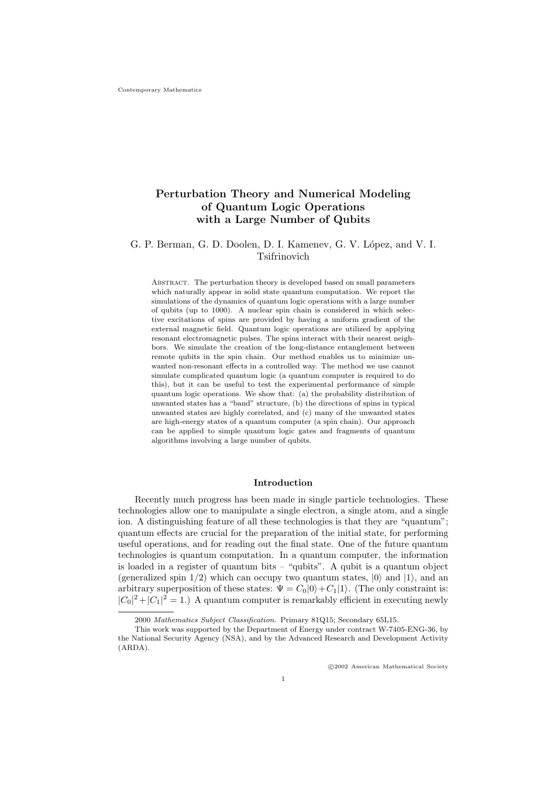# Perturbation Theory and Numerical Modeling of Quantum Logic Operations with a Large Number of Qubits

# G. P. Berman, G. D. Doolen, D. I. Kamenev, G. V. López, and V. I. Tsifrinovich

Abstract. The perturbation theory is developed based on small parameters which naturally appear in solid state quantum computation. We report the simulations of the dynamics of quantum logic operations with a large number of qubits (up to 1000). A nuclear spin chain is considered in which selective excitations of spins are provided by having a uniform gradient of the external magnetic field. Quantum logic operations are utilized by applying resonant electromagnetic pulses. The spins interact with their nearest neighbors. We simulate the creation of the long-distance entanglement between remote qubits in the spin chain. Our method enables us to minimize unwanted non-resonant effects in a controlled way. The method we use cannot simulate complicated quantum logic (a quantum computer is required to do this), but it can be useful to test the experimental performance of simple quantum logic operations. We show that: (a) the probability distribution of unwanted states has a "band" structure, (b) the directions of spins in typical unwanted states are highly correlated, and (c) many of the unwanted states are high-energy states of a quantum computer (a spin chain). Our approach can be applied to simple quantum logic gates and fragments of quantum algorithms involving a large number of qubits.

# Introduction

Recently much progress has been made in single particle technologies. These technologies allow one to manipulate a single electron, a single atom, and a single ion. A distinguishing feature of all these technologies is that they are "quantum"; quantum effects are crucial for the preparation of the initial state, for performing useful operations, and for reading out the final state. One of the future quantum technologies is quantum computation. In a quantum computer, the information is loaded in a register of quantum bits – "qubits". A qubit is a quantum object (generalized spin  $1/2$ ) which can occupy two quantum states,  $|0\rangle$  and  $|1\rangle$ , and an arbitrary superposition of these states:  $\Psi = C_0|0\rangle + C_1|1\rangle$ . (The only constraint is:  $|C_0|^2 + |C_1|^2 = 1$ .) A quantum computer is remarkably efficient in executing newly

<sup>2000</sup> Mathematics Subject Classification. Primary 81Q15; Secondary 65L15.

This work was supported by the Department of Energy under contract W-7405-ENG-36, by the National Security Agency (NSA), and by the Advanced Research and Development Activity (ARDA).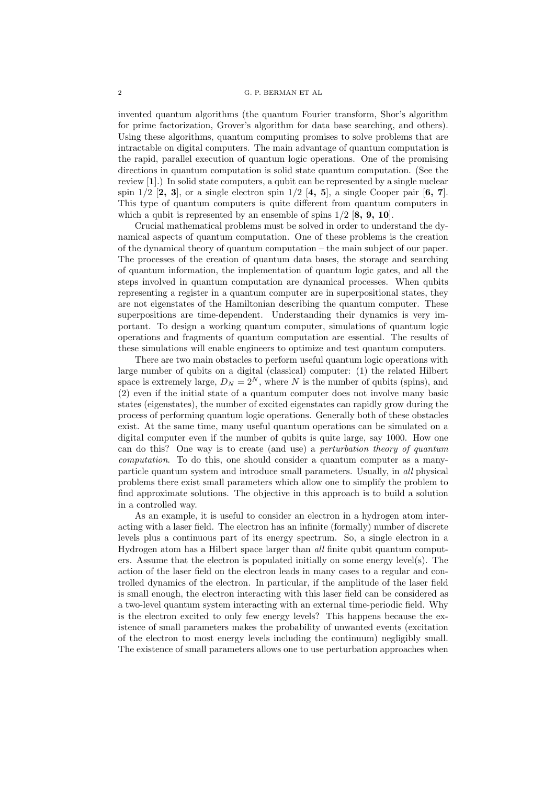invented quantum algorithms (the quantum Fourier transform, Shor's algorithm for prime factorization, Grover's algorithm for data base searching, and others). Using these algorithms, quantum computing promises to solve problems that are intractable on digital computers. The main advantage of quantum computation is the rapid, parallel execution of quantum logic operations. One of the promising directions in quantum computation is solid state quantum computation. (See the review [1].) In solid state computers, a qubit can be represented by a single nuclear spin  $1/2$  [2, 3], or a single electron spin  $1/2$  [4, 5], a single Cooper pair [6, 7]. This type of quantum computers is quite different from quantum computers in which a qubit is represented by an ensemble of spins  $1/2$  [8, 9, 10].

Crucial mathematical problems must be solved in order to understand the dynamical aspects of quantum computation. One of these problems is the creation of the dynamical theory of quantum computation – the main subject of our paper. The processes of the creation of quantum data bases, the storage and searching of quantum information, the implementation of quantum logic gates, and all the steps involved in quantum computation are dynamical processes. When qubits representing a register in a quantum computer are in superpositional states, they are not eigenstates of the Hamiltonian describing the quantum computer. These superpositions are time-dependent. Understanding their dynamics is very important. To design a working quantum computer, simulations of quantum logic operations and fragments of quantum computation are essential. The results of these simulations will enable engineers to optimize and test quantum computers.

There are two main obstacles to perform useful quantum logic operations with large number of qubits on a digital (classical) computer: (1) the related Hilbert space is extremely large,  $D_N = 2^N$ , where N is the number of qubits (spins), and (2) even if the initial state of a quantum computer does not involve many basic states (eigenstates), the number of excited eigenstates can rapidly grow during the process of performing quantum logic operations. Generally both of these obstacles exist. At the same time, many useful quantum operations can be simulated on a digital computer even if the number of qubits is quite large, say 1000. How one can do this? One way is to create (and use) a perturbation theory of quantum computation. To do this, one should consider a quantum computer as a manyparticle quantum system and introduce small parameters. Usually, in all physical problems there exist small parameters which allow one to simplify the problem to find approximate solutions. The objective in this approach is to build a solution in a controlled way.

As an example, it is useful to consider an electron in a hydrogen atom interacting with a laser field. The electron has an infinite (formally) number of discrete levels plus a continuous part of its energy spectrum. So, a single electron in a Hydrogen atom has a Hilbert space larger than all finite qubit quantum computers. Assume that the electron is populated initially on some energy level(s). The action of the laser field on the electron leads in many cases to a regular and controlled dynamics of the electron. In particular, if the amplitude of the laser field is small enough, the electron interacting with this laser field can be considered as a two-level quantum system interacting with an external time-periodic field. Why is the electron excited to only few energy levels? This happens because the existence of small parameters makes the probability of unwanted events (excitation of the electron to most energy levels including the continuum) negligibly small. The existence of small parameters allows one to use perturbation approaches when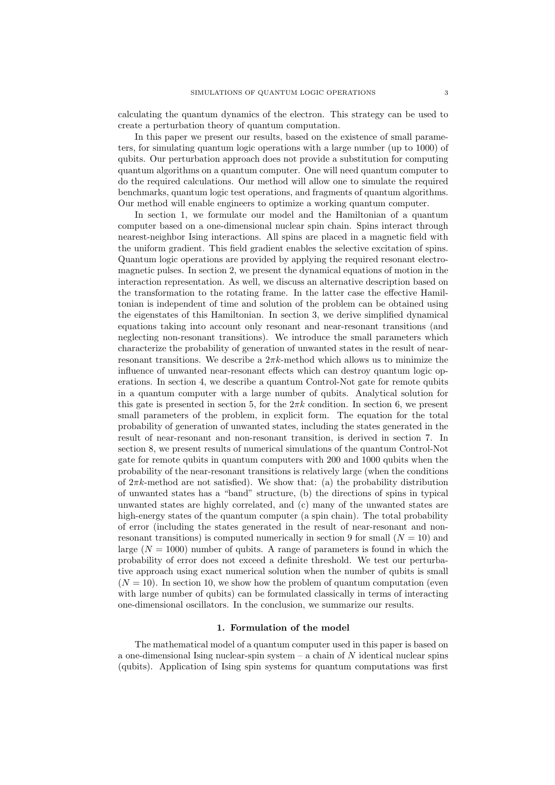calculating the quantum dynamics of the electron. This strategy can be used to create a perturbation theory of quantum computation.

In this paper we present our results, based on the existence of small parameters, for simulating quantum logic operations with a large number (up to 1000) of qubits. Our perturbation approach does not provide a substitution for computing quantum algorithms on a quantum computer. One will need quantum computer to do the required calculations. Our method will allow one to simulate the required benchmarks, quantum logic test operations, and fragments of quantum algorithms. Our method will enable engineers to optimize a working quantum computer.

In section 1, we formulate our model and the Hamiltonian of a quantum computer based on a one-dimensional nuclear spin chain. Spins interact through nearest-neighbor Ising interactions. All spins are placed in a magnetic field with the uniform gradient. This field gradient enables the selective excitation of spins. Quantum logic operations are provided by applying the required resonant electromagnetic pulses. In section 2, we present the dynamical equations of motion in the interaction representation. As well, we discuss an alternative description based on the transformation to the rotating frame. In the latter case the effective Hamiltonian is independent of time and solution of the problem can be obtained using the eigenstates of this Hamiltonian. In section 3, we derive simplified dynamical equations taking into account only resonant and near-resonant transitions (and neglecting non-resonant transitions). We introduce the small parameters which characterize the probability of generation of unwanted states in the result of nearresonant transitions. We describe a  $2\pi k$ -method which allows us to minimize the influence of unwanted near-resonant effects which can destroy quantum logic operations. In section 4, we describe a quantum Control-Not gate for remote qubits in a quantum computer with a large number of qubits. Analytical solution for this gate is presented in section 5, for the  $2\pi k$  condition. In section 6, we present small parameters of the problem, in explicit form. The equation for the total probability of generation of unwanted states, including the states generated in the result of near-resonant and non-resonant transition, is derived in section 7. In section 8, we present results of numerical simulations of the quantum Control-Not gate for remote qubits in quantum computers with 200 and 1000 qubits when the probability of the near-resonant transitions is relatively large (when the conditions of  $2\pi k$ -method are not satisfied). We show that: (a) the probability distribution of unwanted states has a "band" structure, (b) the directions of spins in typical unwanted states are highly correlated, and (c) many of the unwanted states are high-energy states of the quantum computer (a spin chain). The total probability of error (including the states generated in the result of near-resonant and nonresonant transitions) is computed numerically in section 9 for small  $(N = 10)$  and large  $(N = 1000)$  number of qubits. A range of parameters is found in which the probability of error does not exceed a definite threshold. We test our perturbative approach using exact numerical solution when the number of qubits is small  $(N = 10)$ . In section 10, we show how the problem of quantum computation (even with large number of qubits) can be formulated classically in terms of interacting one-dimensional oscillators. In the conclusion, we summarize our results.

# 1. Formulation of the model

The mathematical model of a quantum computer used in this paper is based on a one-dimensional Ising nuclear-spin system  $-$  a chain of N identical nuclear spins (qubits). Application of Ising spin systems for quantum computations was first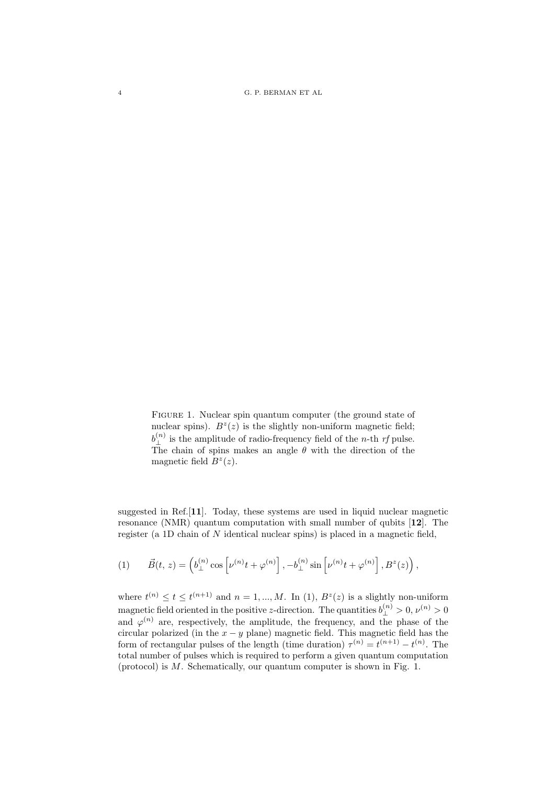4 G. P. BERMAN ET AL

FIGURE 1. Nuclear spin quantum computer (the ground state of nuclear spins).  $B^{z}(z)$  is the slightly non-uniform magnetic field;  $b_{\perp}^{(n)}$  is the amplitude of radio-frequency field of the *n*-th *rf* pulse. The chain of spins makes an angle  $\theta$  with the direction of the magnetic field  $B^z(z)$ .

suggested in Ref.[11]. Today, these systems are used in liquid nuclear magnetic resonance (NMR) quantum computation with small number of qubits [12]. The register (a 1D chain of N identical nuclear spins) is placed in a magnetic field,

(1) 
$$
\vec{B}(t, z) = \left(b_{\perp}^{(n)} \cos \left[\nu^{(n)} t + \varphi^{(n)}\right], -b_{\perp}^{(n)} \sin \left[\nu^{(n)} t + \varphi^{(n)}\right], B^z(z)\right),
$$

where  $t^{(n)} \le t \le t^{(n+1)}$  and  $n = 1, ..., M$ . In (1),  $B^z(z)$  is a slightly non-uniform magnetic field oriented in the positive *z*-direction. The quantities  $b^{(n)}_1 > 0, \nu^{(n)} > 0$ and  $\varphi^{(n)}$  are, respectively, the amplitude, the frequency, and the phase of the circular polarized (in the  $x - y$  plane) magnetic field. This magnetic field has the form of rectangular pulses of the length (time duration)  $\tau^{(n)} = t^{(n+1)} - t^{(n)}$ . The total number of pulses which is required to perform a given quantum computation (protocol) is M. Schematically, our quantum computer is shown in Fig. 1.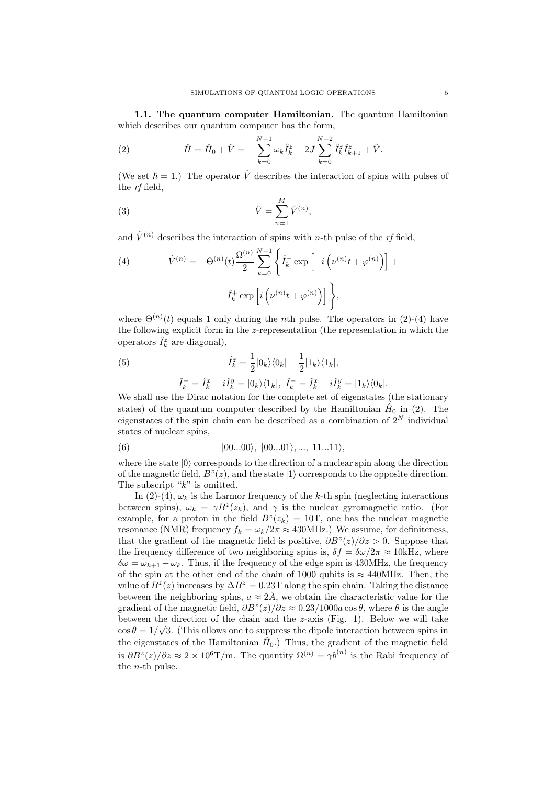1.1. The quantum computer Hamiltonian. The quantum Hamiltonian which describes our quantum computer has the form,

(2) 
$$
\hat{H} = \hat{H}_0 + \hat{V} = -\sum_{k=0}^{N-1} \omega_k \hat{I}_k^z - 2J \sum_{k=0}^{N-2} \hat{I}_k^z \hat{I}_{k+1}^z + \hat{V}.
$$

(We set  $\hbar = 1$ .) The operator  $\hat{V}$  describes the interaction of spins with pulses of the rf field,

(3) 
$$
\hat{V} = \sum_{n=1}^{M} \hat{V}^{(n)},
$$

and  $\hat{V}^{(n)}$  describes the interaction of spins with *n*-th pulse of the *rf* field,

(4) 
$$
\hat{V}^{(n)} = -\Theta^{(n)}(t) \frac{\Omega^{(n)}}{2} \sum_{k=0}^{N-1} \left\{ \hat{I}_k^- \exp\left[-i\left(\nu^{(n)}t + \varphi^{(n)}\right)\right] + \hat{I}_k^+ \exp\left[i\left(\nu^{(n)}t + \varphi^{(n)}\right)\right] \right\},
$$

where  $\Theta^{(n)}(t)$  equals 1 only during the *n*th pulse. The operators in (2)-(4) have the following explicit form in the z-representation (the representation in which the operators  $\hat{I}_k^z$  are diagonal),

(5) 
$$
\hat{I}_k^z = \frac{1}{2} |0_k\rangle\langle0_k| - \frac{1}{2} |1_k\rangle\langle1_k|,
$$

$$
\hat{I}_k^+ = \hat{I}_k^x + i\hat{I}_k^y = |0_k\rangle\langle1_k|, \ \hat{I}_k^- = \hat{I}_k^x - i\hat{I}_k^y = |1_k\rangle\langle0_k|.
$$

We shall use the Dirac notation for the complete set of eigenstates (the stationary states) of the quantum computer described by the Hamiltonian  $\hat{H}_0$  in (2). The eigenstates of the spin chain can be described as a combination of  $2^N$  individual states of nuclear spins,

(6) 
$$
|00...00\rangle, |00...01\rangle, ..., |11...11\rangle,
$$

where the state  $|0\rangle$  corresponds to the direction of a nuclear spin along the direction of the magnetic field,  $B^{z}(z)$ , and the state  $|1\rangle$  corresponds to the opposite direction. The subscript " $k$ " is omitted.

In (2)-(4),  $\omega_k$  is the Larmor frequency of the k-th spin (neglecting interactions between spins),  $\omega_k = \gamma B^z(z_k)$ , and  $\gamma$  is the nuclear gyromagnetic ratio. (For example, for a proton in the field  $B^z(z_k) = 10$ T, one has the nuclear magnetic resonance (NMR) frequency  $f_k = \omega_k/2\pi \approx 430$ MHz.) We assume, for definiteness, that the gradient of the magnetic field is positive,  $\partial B^z(z)/\partial z > 0$ . Suppose that the frequency difference of two neighboring spins is,  $\delta f = \delta \omega / 2\pi \approx 10$  kHz, where  $\delta\omega = \omega_{k+1} - \omega_k$ . Thus, if the frequency of the edge spin is 430MHz, the frequency of the spin at the other end of the chain of 1000 qubits is  $\approx 440$ MHz. Then, the value of  $B^z(z)$  increases by  $\Delta B^z = 0.23T$  along the spin chain. Taking the distance between the neighboring spins,  $a \approx 2\AA$ , we obtain the characteristic value for the gradient of the magnetic field,  $\partial B^z(z)/\partial z \approx 0.23/1000a \cos \theta$ , where  $\theta$  is the angle between the direction of the chain and the *z*-axis (Fig. 1). Below we will take  $\cos \theta = 1/\sqrt{3}$ . (This allows one to suppress the dipole interaction between spins in the eigenstates of the Hamiltonian  $\hat{H}_0$ .) Thus, the gradient of the magnetic field is  $\partial B^z(z)/\partial z \approx 2 \times 10^6$ T/m. The quantity  $\Omega^{(n)} = \gamma b_1^{(n)}$  is the Rabi frequency of the n-th pulse.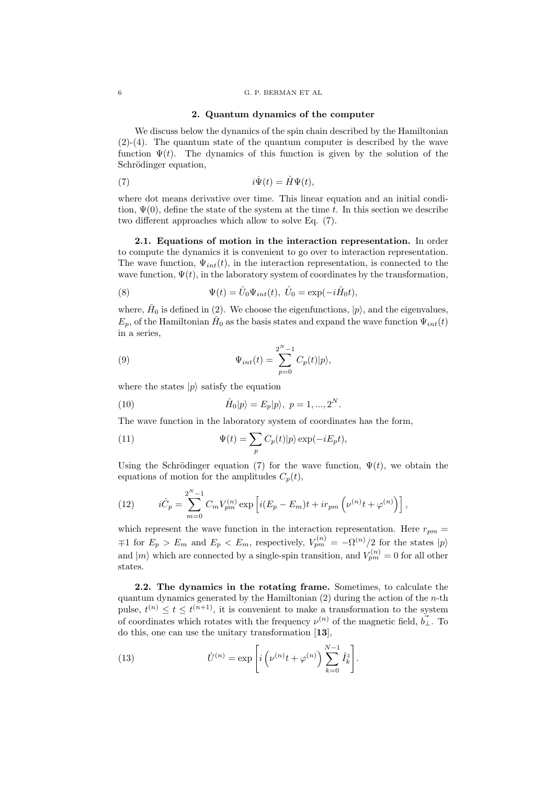## 6 G. P. BERMAN ET AL

## 2. Quantum dynamics of the computer

We discuss below the dynamics of the spin chain described by the Hamiltonian (2)-(4). The quantum state of the quantum computer is described by the wave function  $\Psi(t)$ . The dynamics of this function is given by the solution of the Schrödinger equation,

(7) 
$$
i\dot{\Psi}(t) = \hat{H}\Psi(t),
$$

where dot means derivative over time. This linear equation and an initial condition,  $\Psi(0)$ , define the state of the system at the time t. In this section we describe two different approaches which allow to solve Eq. (7).

2.1. Equations of motion in the interaction representation. In order to compute the dynamics it is convenient to go over to interaction representation. The wave function,  $\Psi_{int}(t)$ , in the interaction representation, is connected to the wave function,  $\Psi(t)$ , in the laboratory system of coordinates by the transformation,

(8) 
$$
\Psi(t) = \hat{U}_0 \Psi_{int}(t), \ \hat{U}_0 = \exp(-i\hat{H}_0 t),
$$

where,  $\hat{H}_0$  is defined in (2). We choose the eigenfunctions,  $|p\rangle$ , and the eigenvalues,  $E_p$ , of the Hamiltonian  $\hat{H}_0$  as the basis states and expand the wave function  $\Psi_{int}(t)$ in a series,

(9) 
$$
\Psi_{int}(t) = \sum_{p=0}^{2^N - 1} C_p(t)|p\rangle,
$$

where the states  $|p\rangle$  satisfy the equation

(10) 
$$
\hat{H}_0|p\rangle = E_p|p\rangle, \ p = 1, ..., 2^N.
$$

The wave function in the laboratory system of coordinates has the form,

(11) 
$$
\Psi(t) = \sum_{p} C_p(t) |p\rangle \exp(-iE_p t),
$$

Using the Schrödinger equation (7) for the wave function,  $\Psi(t)$ , we obtain the equations of motion for the amplitudes  $C_p(t)$ ,

(12) 
$$
i\dot{C}_p = \sum_{m=0}^{2^N-1} C_m V_{pm}^{(n)} \exp \left[ i(E_p - E_m)t + ir_{pm} \left( \nu^{(n)} t + \varphi^{(n)} \right) \right],
$$

which represent the wave function in the interaction representation. Here  $r_{pm} =$  $τ$ 1 for  $E_p > E_m$  and  $E_p < E_m$ , respectively,  $V_{pm}^{(n)} = -\Omega^{(n)}/2$  for the states  $|p\rangle$ and  $|m\rangle$  which are connected by a single-spin transition, and  $V_{pm}^{(n)} = 0$  for all other states.

2.2. The dynamics in the rotating frame. Sometimes, to calculate the quantum dynamics generated by the Hamiltonian  $(2)$  during the action of the *n*-th pulse,  $t^{(n)} \leq t \leq t^{(n+1)}$ , it is convenient to make a transformation to the system of coordinates which rotates with the frequency  $\nu^{(n)}$  of the magnetic field,  $\vec{b}_\perp$ . To do this, one can use the unitary transformation [13],

(13) 
$$
\hat{U}^{(n)} = \exp\left[i\left(\nu^{(n)}t + \varphi^{(n)}\right)\sum_{k=0}^{N-1}\hat{I}_k^z\right].
$$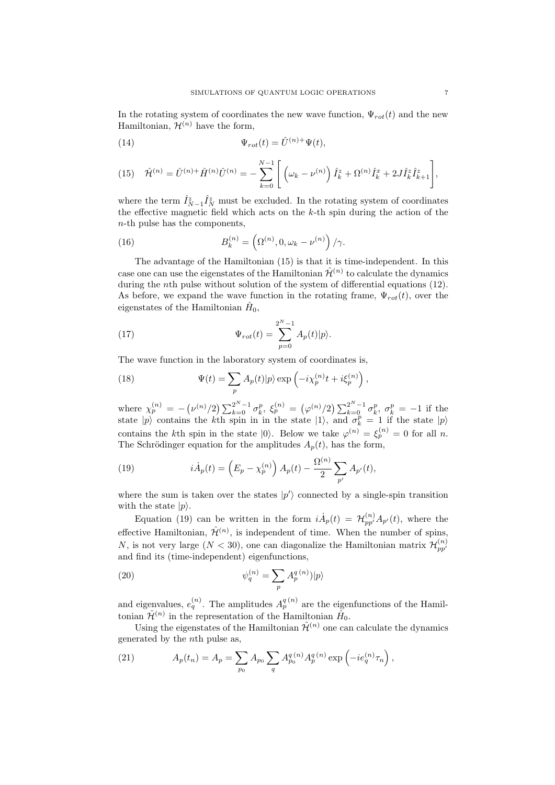In the rotating system of coordinates the new wave function,  $\Psi_{rot}(t)$  and the new Hamiltonian,  $\mathcal{H}^{(n)}$  have the form,

(14) 
$$
\Psi_{rot}(t) = \hat{U}^{(n)+} \Psi(t),
$$

(15) 
$$
\hat{\mathcal{H}}^{(n)} = \hat{U}^{(n)} + \hat{H}^{(n)} \hat{U}^{(n)} = -\sum_{k=0}^{N-1} \left[ \left( \omega_k - \nu^{(n)} \right) \hat{I}_k^z + \Omega^{(n)} \hat{I}_k^x + 2 J \hat{I}_k^z \hat{I}_{k+1}^z \right],
$$

where the term  $\hat{I}_{N-1}^z \hat{I}_N^z$  must be excluded. In the rotating system of coordinates the effective magnetic field which acts on the  $k$ -th spin during the action of the n-th pulse has the components,

(16) 
$$
B_k^{(n)} = \left(\Omega^{(n)}, 0, \omega_k - \nu^{(n)}\right)/\gamma.
$$

The advantage of the Hamiltonian (15) is that it is time-independent. In this case one can use the eigenstates of the Hamiltonian  $\hat{\mathcal{H}}^{(n)}$  to calculate the dynamics during the *n*th pulse without solution of the system of differential equations (12). As before, we expand the wave function in the rotating frame,  $\Psi_{rot}(t)$ , over the eigenstates of the Hamiltonian  $\hat{H}_0$ ,

(17) 
$$
\Psi_{rot}(t) = \sum_{p=0}^{2^N - 1} A_p(t) |p\rangle.
$$

The wave function in the laboratory system of coordinates is,

(18) 
$$
\Psi(t) = \sum_{p} A_p(t) |p\rangle \exp\left(-i\chi_p^{(n)}t + i\xi_p^{(n)}\right),
$$

where  $\chi_p^{(n)} = -(\nu^{(n)}/2) \sum_{k=0}^{2^N-1} \sigma_k^p$ ,  $\xi_p^{(n)} = (\varphi^{(n)}/2) \sum_{k=0}^{2^N-1} \sigma_k^p$ ,  $\sigma_k^p = -1$  if the state  $|p\rangle$  contains the kth spin in in the state  $|1\rangle$ , and  $\sigma_k^p = 1$  if the state  $|p\rangle$ contains the kth spin in the state  $|0\rangle$ . Below we take  $\varphi^{(n)} = \xi_p^{(n)} = 0$  for all n. The Schrödinger equation for the amplitudes  $A_p(t)$ , has the form,

(19) 
$$
i\dot{A}_p(t) = \left(E_p - \chi_p^{(n)}\right) A_p(t) - \frac{\Omega^{(n)}}{2} \sum_{p'} A_{p'}(t),
$$

where the sum is taken over the states  $|p'\rangle$  connected by a single-spin transition with the state  $|p\rangle$ .

Equation (19) can be written in the form  $i\dot{A}_p(t) = \mathcal{H}_{pp'}^{(n)} A_{p'}(t)$ , where the effective Hamiltonian,  $\hat{\mathcal{H}}^{(n)}$ , is independent of time. When the number of spins, N, is not very large  $(N < 30)$ , one can diagonalize the Hamiltonian matrix  $\mathcal{H}_{pp'}^{(n)}$ and find its (time-independent) eigenfunctions,

(20) 
$$
\psi_q^{(n)} = \sum_p A_p^{q(n)} |p\rangle
$$

and eigenvalues,  $e_q^{(n)}$ . The amplitudes  $A_p^{q(n)}$  are the eigenfunctions of the Hamiltonian  $\hat{\mathcal{H}}^{(n)}$  in the representation of the Hamiltonian  $\hat{H}_0$ .

Using the eigenstates of the Hamiltonian  $\hat{\mathcal{H}}^{(n)}$  one can calculate the dynamics generated by the nth pulse as,

(21) 
$$
A_p(t_n) = A_p = \sum_{p_0} A_{p_0} \sum_q A_{p_0}^{q(n)} A_p^{q(n)} \exp\left(-ie_q^{(n)} \tau_n\right),
$$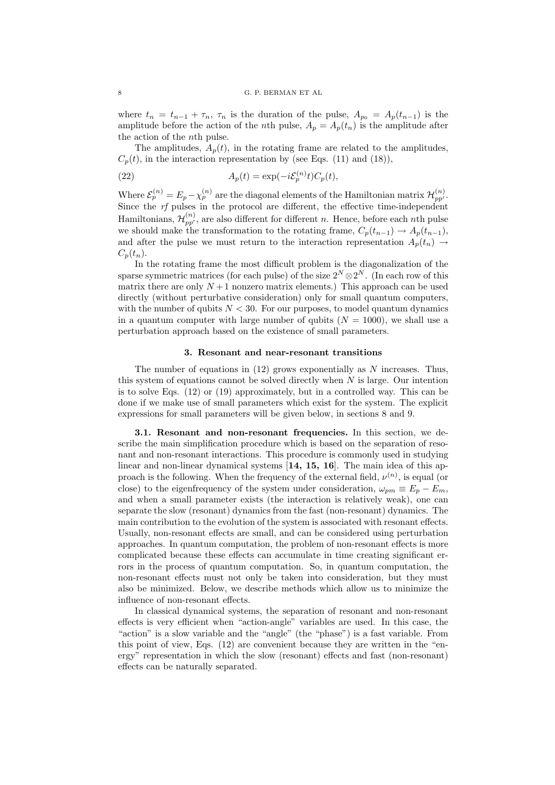where  $t_n = t_{n-1} + \tau_n$ ,  $\tau_n$  is the duration of the pulse,  $A_{p_0} = A_p(t_{n-1})$  is the amplitude before the action of the *n*th pulse,  $A_p = A_p(t_n)$  is the amplitude after the action of the nth pulse.

The amplitudes,  $A_p(t)$ , in the rotating frame are related to the amplitudes,  $C_p(t)$ , in the interaction representation by (see Eqs. (11) and (18)),

(22) 
$$
A_p(t) = \exp(-i\xi_p^{(n)}t)C_p(t),
$$

Where  $\mathcal{E}_p^{(n)} = E_p - \chi_p^{(n)}$  are the diagonal elements of the Hamiltonian matrix  $\mathcal{H}_{pp'}^{(n)}$ . Since the rf pulses in the protocol are different, the effective time-independent Hamiltonians,  $\mathcal{H}_{pp'}^{(n)}$ , are also different for different n. Hence, before each nth pulse we should make the transformation to the rotating frame,  $C_p(t_{n-1}) \to A_p(t_{n-1}),$ and after the pulse we must return to the interaction representation  $A_p(t_n) \rightarrow$  $C_n(t_n)$ .

In the rotating frame the most difficult problem is the diagonalization of the sparse symmetric matrices (for each pulse) of the size  $2^N \otimes 2^N$ . (In each row of this matrix there are only  $N+1$  nonzero matrix elements.) This approach can be used directly (without perturbative consideration) only for small quantum computers, with the number of qubits  $N < 30$ . For our purposes, to model quantum dynamics in a quantum computer with large number of qubits  $(N = 1000)$ , we shall use a perturbation approach based on the existence of small parameters.

# 3. Resonant and near-resonant transitions

The number of equations in  $(12)$  grows exponentially as N increases. Thus, this system of equations cannot be solved directly when  $N$  is large. Our intention is to solve Eqs. (12) or (19) approximately, but in a controlled way. This can be done if we make use of small parameters which exist for the system. The explicit expressions for small parameters will be given below, in sections 8 and 9.

3.1. Resonant and non-resonant frequencies. In this section, we describe the main simplification procedure which is based on the separation of resonant and non-resonant interactions. This procedure is commonly used in studying linear and non-linear dynamical systems [14, 15, 16]. The main idea of this approach is the following. When the frequency of the external field,  $\nu^{(n)}$ , is equal (or close) to the eigenfrequency of the system under consideration,  $\omega_{pm} \equiv E_p - E_m$ , and when a small parameter exists (the interaction is relatively weak), one can separate the slow (resonant) dynamics from the fast (non-resonant) dynamics. The main contribution to the evolution of the system is associated with resonant effects. Usually, non-resonant effects are small, and can be considered using perturbation approaches. In quantum computation, the problem of non-resonant effects is more complicated because these effects can accumulate in time creating significant errors in the process of quantum computation. So, in quantum computation, the non-resonant effects must not only be taken into consideration, but they must also be minimized. Below, we describe methods which allow us to minimize the influence of non-resonant effects.

In classical dynamical systems, the separation of resonant and non-resonant effects is very efficient when "action-angle" variables are used. In this case, the "action" is a slow variable and the "angle" (the "phase") is a fast variable. From this point of view, Eqs. (12) are convenient because they are written in the "energy" representation in which the slow (resonant) effects and fast (non-resonant) effects can be naturally separated.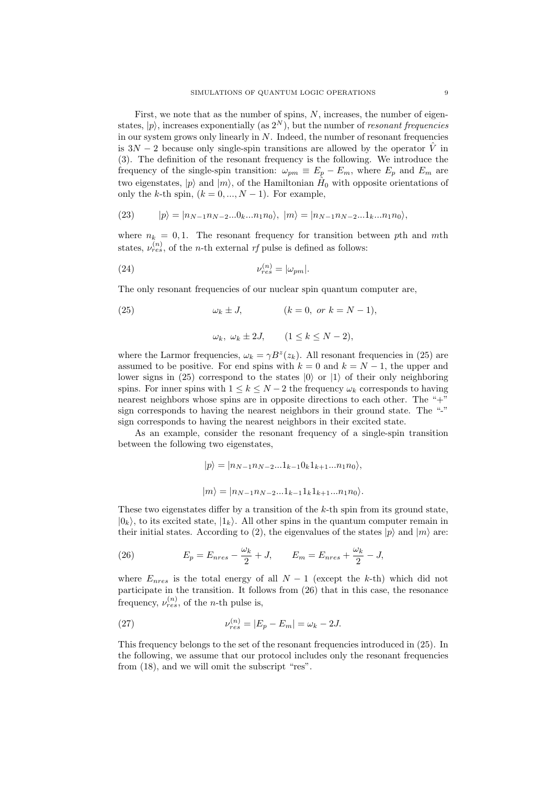First, we note that as the number of spins, N, increases, the number of eigenstates,  $|p\rangle$ , increases exponentially (as  $2^N$ ), but the number of *resonant frequencies* in our system grows only linearly in  $N$ . Indeed, the number of resonant frequencies is  $3N-2$  because only single-spin transitions are allowed by the operator  $\hat{V}$  in (3). The definition of the resonant frequency is the following. We introduce the frequency of the single-spin transition:  $\omega_{pm} \equiv E_p - E_m$ , where  $E_p$  and  $E_m$  are two eigenstates,  $|p\rangle$  and  $|m\rangle$ , of the Hamiltonian  $\hat{H}_0$  with opposite orientations of only the k-th spin,  $(k = 0, ..., N - 1)$ . For example,

(23) 
$$
|p\rangle = |n_{N-1}n_{N-2}...0_{k}...n_{1}n_{0}\rangle, |m\rangle = |n_{N-1}n_{N-2}...1_{k}...n_{1}n_{0}\rangle,
$$

where  $n_k = 0, 1$ . The resonant frequency for transition between pth and mth states,  $\nu_{res}^{(n)}$ , of the *n*-th external *rf* pulse is defined as follows:

(24) 
$$
\nu_{res}^{(n)} = |\omega_{pm}|.
$$

The only resonant frequencies of our nuclear spin quantum computer are,

(25) 
$$
\omega_k \pm J, \qquad (k = 0, \text{ or } k = N - 1),
$$

$$
\omega_k, \ \omega_k \pm 2J, \qquad (1 \le k \le N-2),
$$

where the Larmor frequencies,  $\omega_k = \gamma B^z(z_k)$ . All resonant frequencies in (25) are assumed to be positive. For end spins with  $k = 0$  and  $k = N - 1$ , the upper and lower signs in (25) correspond to the states  $|0\rangle$  or  $|1\rangle$  of their only neighboring spins. For inner spins with  $1 \leq k \leq N-2$  the frequency  $\omega_k$  corresponds to having nearest neighbors whose spins are in opposite directions to each other. The "+" sign corresponds to having the nearest neighbors in their ground state. The "-" sign corresponds to having the nearest neighbors in their excited state.

As an example, consider the resonant frequency of a single-spin transition between the following two eigenstates,

$$
|p\rangle = |n_{N-1}n_{N-2}...1_{k-1}0_k1_{k+1}...n_1n_0\rangle,
$$
  

$$
|m\rangle = |n_{N-1}n_{N-2}...1_{k-1}1_k1_{k+1}...n_1n_0\rangle.
$$

These two eigenstates differ by a transition of the  $k$ -th spin from its ground state,  $|0_k\rangle$ , to its excited state,  $|1_k\rangle$ . All other spins in the quantum computer remain in their initial states. According to (2), the eigenvalues of the states  $|p\rangle$  and  $|m\rangle$  are:

(26) 
$$
E_p = E_{nres} - \frac{\omega_k}{2} + J, \qquad E_m = E_{nres} + \frac{\omega_k}{2} - J,
$$

where  $E_{nres}$  is the total energy of all  $N-1$  (except the k-th) which did not participate in the transition. It follows from (26) that in this case, the resonance frequency,  $\nu_{res}^{(n)}$ , of the *n*-th pulse is,

(27) 
$$
\nu_{res}^{(n)} = |E_p - E_m| = \omega_k - 2J.
$$

This frequency belongs to the set of the resonant frequencies introduced in (25). In the following, we assume that our protocol includes only the resonant frequencies from (18), and we will omit the subscript "res".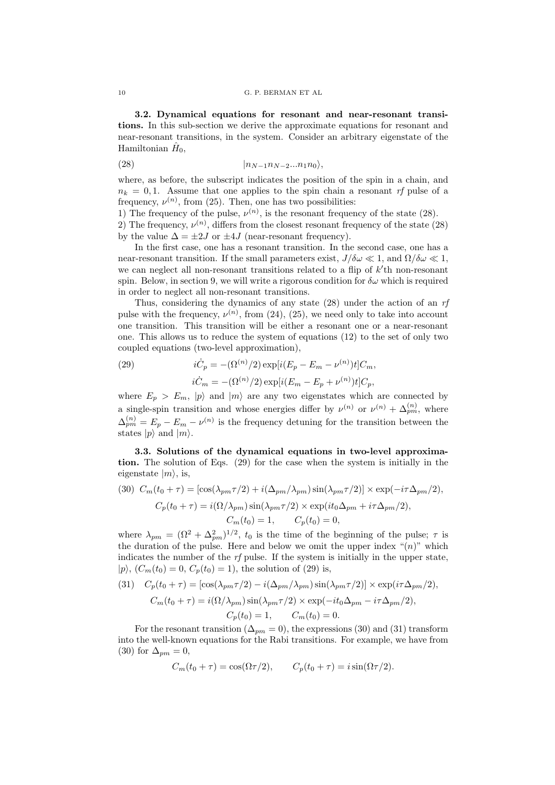3.2. Dynamical equations for resonant and near-resonant transitions. In this sub-section we derive the approximate equations for resonant and near-resonant transitions, in the system. Consider an arbitrary eigenstate of the Hamiltonian  $\hat{H}_0$ ,

$$
(28) \qquad \qquad |n_{N-1}n_{N-2}...n_{1}n_{0}\rangle,
$$

where, as before, the subscript indicates the position of the spin in a chain, and  $n_k = 0.1$ . Assume that one applies to the spin chain a resonant rf pulse of a frequency,  $\nu^{(n)}$ , from (25). Then, one has two possibilities:

1) The frequency of the pulse,  $\nu^{(n)}$ , is the resonant frequency of the state (28).

2) The frequency,  $\nu^{(n)}$ , differs from the closest resonant frequency of the state (28) by the value  $\Delta = \pm 2J$  or  $\pm 4J$  (near-resonant frequency).

In the first case, one has a resonant transition. In the second case, one has a near-resonant transition. If the small parameters exist,  $J/\delta\omega \ll 1$ , and  $\Omega/\delta\omega \ll 1$ , we can neglect all non-resonant transitions related to a flip of  $k'$ th non-resonant spin. Below, in section 9, we will write a rigorous condition for  $\delta\omega$  which is required in order to neglect all non-resonant transitions.

Thus, considering the dynamics of any state (28) under the action of an rf pulse with the frequency,  $\nu^{(n)}$ , from (24), (25), we need only to take into account one transition. This transition will be either a resonant one or a near-resonant one. This allows us to reduce the system of equations (12) to the set of only two coupled equations (two-level approximation),

(29) 
$$
i\dot{C}_p = -(\Omega^{(n)}/2) \exp[i(E_p - E_m - \nu^{(n)})t]C_m,
$$

$$
i\dot{C}_m = -(\Omega^{(n)}/2) \exp[i(E_m - E_p + \nu^{(n)})t]C_p,
$$

where  $E_p > E_m$ ,  $|p\rangle$  and  $|m\rangle$  are any two eigenstates which are connected by a single-spin transition and whose energies differ by  $\nu^{(n)}$  or  $\nu^{(n)} + \Delta_{pm}^{(n)}$ , where  $\Delta_{pm}^{(n)} = E_p - E_m - \nu^{(n)}$  is the frequency detuning for the transition between the states  $|p\rangle$  and  $|m\rangle$ .

3.3. Solutions of the dynamical equations in two-level approximation. The solution of Eqs. (29) for the case when the system is initially in the eigenstate  $|m\rangle$ , is,

(30) 
$$
C_m(t_0 + \tau) = [\cos(\lambda_{pm}\tau/2) + i(\Delta_{pm}/\lambda_{pm})\sin(\lambda_{pm}\tau/2)] \times \exp(-i\tau\Delta_{pm}/2)
$$

$$
C_p(t_0 + \tau) = i(\Omega/\lambda_{pm})\sin(\lambda_{pm}\tau/2) \times \exp(it_0\Delta_{pm} + i\tau\Delta_{pm}/2),
$$

$$
C_m(t_0) = 1, \qquad C_p(t_0) = 0,
$$

where  $\lambda_{pm} = (\Omega^2 + \Delta_{pm}^2)^{1/2}$ ,  $t_0$  is the time of the beginning of the pulse;  $\tau$  is the duration of the pulse. Here and below we omit the upper index " $(n)$ " which indicates the number of the  $rf$  pulse. If the system is initially in the upper state,  $|p\rangle$ ,  $(C_m(t_0) = 0, C_p(t_0) = 1)$ , the solution of (29) is,

(31) 
$$
C_p(t_0 + \tau) = [\cos(\lambda_{pm}\tau/2) - i(\Delta_{pm}/\lambda_{pm})\sin(\lambda_{pm}\tau/2)] \times \exp(i\tau\Delta_{pm}/2),
$$

$$
C_m(t_0 + \tau) = i(\Omega/\lambda_{pm})\sin(\lambda_{pm}\tau/2) \times \exp(-it_0\Delta_{pm} - i\tau\Delta_{pm}/2),
$$

$$
C_p(t_0) = 1, \qquad C_m(t_0) = 0.
$$

For the resonant transition ( $\Delta_{pm} = 0$ ), the expressions (30) and (31) transform into the well-known equations for the Rabi transitions. For example, we have from (30) for  $\Delta_{pm} = 0$ ,

$$
C_m(t_0 + \tau) = \cos(\Omega \tau/2), \qquad C_p(t_0 + \tau) = i \sin(\Omega \tau/2).
$$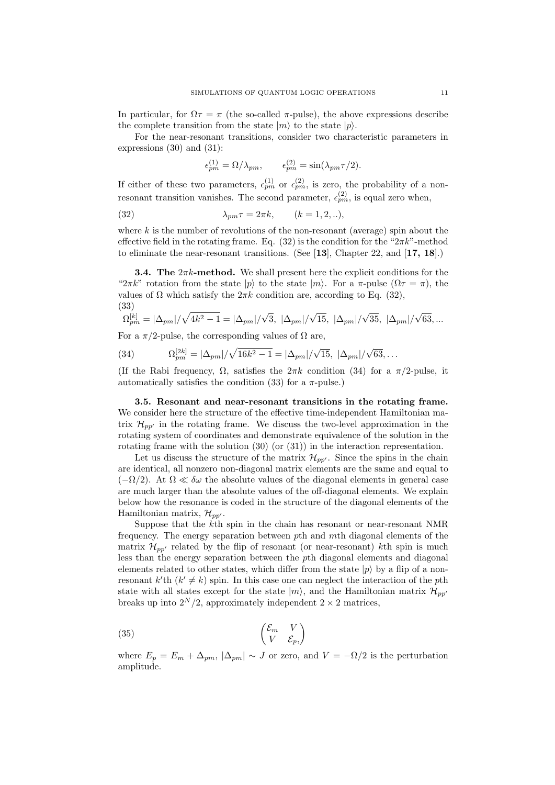In particular, for  $\Omega \tau = \pi$  (the so-called  $\pi$ -pulse), the above expressions describe the complete transition from the state  $|m\rangle$  to the state  $|p\rangle$ .

For the near-resonant transitions, consider two characteristic parameters in expressions (30) and (31):

$$
\epsilon_{pm}^{(1)} = \Omega/\lambda_{pm}, \qquad \epsilon_{pm}^{(2)} = \sin(\lambda_{pm}\tau/2).
$$

If either of these two parameters,  $\epsilon_{pm}^{(1)}$  or  $\epsilon_{pm}^{(2)}$ , is zero, the probability of a nonresonant transition vanishes. The second parameter,  $\epsilon_{pm}^{(2)}$ , is equal zero when,

(32) 
$$
\lambda_{pm}\tau = 2\pi k, \qquad (k = 1, 2, \ldots),
$$

where k is the number of revolutions of the non-resonant (average) spin about the effective field in the rotating frame. Eq. (32) is the condition for the " $2\pi k$ "-method to eliminate the near-resonant transitions. (See [13], Chapter 22, and [17, 18].)

**3.4. The**  $2\pi k$ **-method.** We shall present here the explicit conditions for the " $2\pi k$ " rotation from the state  $|p\rangle$  to the state  $|m\rangle$ . For a  $\pi$ -pulse  $(\Omega \tau = \pi)$ , the values of  $\Omega$  which satisfy the  $2\pi k$  condition are, according to Eq. (32), (33)

$$
\Omega_{pm}^{[k]} = |\Delta_{pm}|/\sqrt{4k^2 - 1} = |\Delta_{pm}|/\sqrt{3}, \ |\Delta_{pm}|/\sqrt{15}, \ |\Delta_{pm}|/\sqrt{35}, \ |\Delta_{pm}|/\sqrt{63},...
$$

For a  $\pi/2$ -pulse, the corresponding values of  $\Omega$  are,

(34) 
$$
\Omega_{pm}^{[2k]} = |\Delta_{pm}|/\sqrt{16k^2 - 1} = |\Delta_{pm}|/\sqrt{15}, \ |\Delta_{pm}|/\sqrt{63}, ...
$$

(If the Rabi frequency,  $\Omega$ , satisfies the  $2\pi k$  condition (34) for a  $\pi/2$ -pulse, it automatically satisfies the condition (33) for a  $\pi$ -pulse.)

3.5. Resonant and near-resonant transitions in the rotating frame. We consider here the structure of the effective time-independent Hamiltonian matrix  $\mathcal{H}_{pp'}$  in the rotating frame. We discuss the two-level approximation in the rotating system of coordinates and demonstrate equivalence of the solution in the rotating frame with the solution  $(30)$  (or  $(31)$ ) in the interaction representation.

Let us discuss the structure of the matrix  $\mathcal{H}_{pp'}$ . Since the spins in the chain are identical, all nonzero non-diagonal matrix elements are the same and equal to  $(-\Omega/2)$ . At  $\Omega \ll \delta\omega$  the absolute values of the diagonal elements in general case are much larger than the absolute values of the off-diagonal elements. We explain below how the resonance is coded in the structure of the diagonal elements of the Hamiltonian matrix,  $\mathcal{H}_{pp'}$ .

Suppose that the kth spin in the chain has resonant or near-resonant NMR frequency. The energy separation between pth and mth diagonal elements of the matrix  $\mathcal{H}_{pp'}$  related by the flip of resonant (or near-resonant) kth spin is much less than the energy separation between the pth diagonal elements and diagonal elements related to other states, which differ from the state  $|p\rangle$  by a flip of a nonresonant k'th  $(k' \neq k)$  spin. In this case one can neglect the interaction of the pth state with all states except for the state  $|m\rangle$ , and the Hamiltonian matrix  $\mathcal{H}_{nn'}$ breaks up into  $2^N/2$ , approximately independent  $2 \times 2$  matrices,

$$
\begin{pmatrix} \mathcal{E}_m & V \\ V & \mathcal{E}_p, \end{pmatrix}
$$

where  $E_p = E_m + \Delta_{pm} |\Delta_{pm}| \sim J$  or zero, and  $V = -\Omega/2$  is the perturbation amplitude.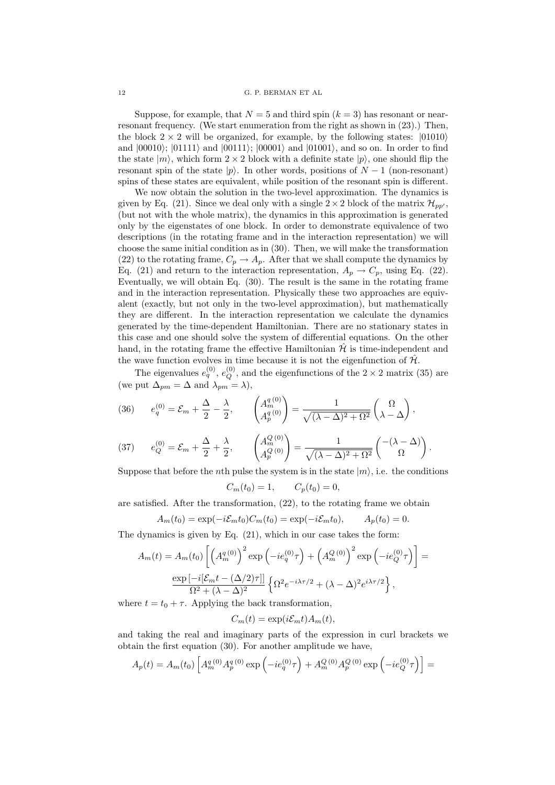Suppose, for example, that  $N = 5$  and third spin  $(k = 3)$  has resonant or nearresonant frequency. (We start enumeration from the right as shown in (23).) Then, the block  $2 \times 2$  will be organized, for example, by the following states:  $|01010\rangle$ and  $|00010\rangle$ ;  $|01111\rangle$  and  $|00111\rangle$ ;  $|00001\rangle$  and  $|01001\rangle$ , and so on. In order to find the state  $|m\rangle$ , which form  $2 \times 2$  block with a definite state  $|p\rangle$ , one should flip the resonant spin of the state  $|p\rangle$ . In other words, positions of  $N-1$  (non-resonant) spins of these states are equivalent, while position of the resonant spin is different.

We now obtain the solution in the two-level approximation. The dynamics is given by Eq. (21). Since we deal only with a single  $2 \times 2$  block of the matrix  $\mathcal{H}_{pp}$ , (but not with the whole matrix), the dynamics in this approximation is generated only by the eigenstates of one block. In order to demonstrate equivalence of two descriptions (in the rotating frame and in the interaction representation) we will choose the same initial condition as in (30). Then, we will make the transformation (22) to the rotating frame,  $C_p \to A_p$ . After that we shall compute the dynamics by Eq. (21) and return to the interaction representation,  $A_p \to C_p$ , using Eq. (22). Eventually, we will obtain Eq. (30). The result is the same in the rotating frame and in the interaction representation. Physically these two approaches are equivalent (exactly, but not only in the two-level approximation), but mathematically they are different. In the interaction representation we calculate the dynamics generated by the time-dependent Hamiltonian. There are no stationary states in this case and one should solve the system of differential equations. On the other hand, in the rotating frame the effective Hamiltonian  $\mathcal{H}$  is time-independent and the wave function evolves in time because it is not the eigenfunction of  $\hat{\mathcal{H}}$ .

The eigenvalues  $e_q^{(0)}$ ,  $e_Q^{(0)}$ , and the eigenfunctions of the 2 × 2 matrix (35) are (we put  $\Delta_{pm} = \Delta$  and  $\lambda_{pm} = \lambda$ ),

(36) 
$$
e_q^{(0)} = \mathcal{E}_m + \frac{\Delta}{2} - \frac{\lambda}{2}, \qquad \begin{pmatrix} A_m^{q(0)} \\ A_p^{q(0)} \end{pmatrix} = \frac{1}{\sqrt{(\lambda - \Delta)^2 + \Omega^2}} \begin{pmatrix} \Omega \\ \lambda - \Delta \end{pmatrix},
$$

(37) 
$$
e_Q^{(0)} = \mathcal{E}_m + \frac{\Delta}{2} + \frac{\lambda}{2}, \qquad \begin{pmatrix} A_m^{Q(0)} \\ A_p^{Q(0)} \end{pmatrix} = \frac{1}{\sqrt{(\lambda - \Delta)^2 + \Omega^2}} \begin{pmatrix} -(\lambda - \Delta) \\ \Omega \end{pmatrix}.
$$

Suppose that before the *n*th pulse the system is in the state  $|m\rangle$ , i.e. the conditions

$$
C_m(t_0) = 1, \qquad C_p(t_0) = 0,
$$

are satisfied. After the transformation, (22), to the rotating frame we obtain

$$
A_m(t_0) = \exp(-i\mathcal{E}_m t_0) C_m(t_0) = \exp(-i\mathcal{E}_m t_0), \qquad A_p(t_0) = 0.
$$

The dynamics is given by Eq. (21), which in our case takes the form:

$$
A_m(t) = A_m(t_0) \left[ \left( A_m^{q(0)} \right)^2 \exp \left( -ie_q^{(0)} \tau \right) + \left( A_m^{Q(0)} \right)^2 \exp \left( -ie_Q^{(0)} \tau \right) \right] = \frac{\exp \left[ -i \left[ \mathcal{E}_m t - \left( \Delta/2 \right) \tau \right] \right]}{\Omega^2 + (\lambda - \Delta)^2} \left\{ \Omega^2 e^{-i\lambda \tau/2} + (\lambda - \Delta)^2 e^{i\lambda \tau/2} \right\},
$$

where  $t = t_0 + \tau$ . Applying the back transformation,

$$
C_m(t) = \exp(i\mathcal{E}_m t) A_m(t),
$$

and taking the real and imaginary parts of the expression in curl brackets we obtain the first equation (30). For another amplitude we have,

$$
A_p(t) = A_m(t_0) \left[ A_m^{q(0)} A_p^{q(0)} \exp \left( -ie_q^{(0)} \tau \right) + A_m^{Q(0)} A_p^{Q(0)} \exp \left( -ie_Q^{(0)} \tau \right) \right] =
$$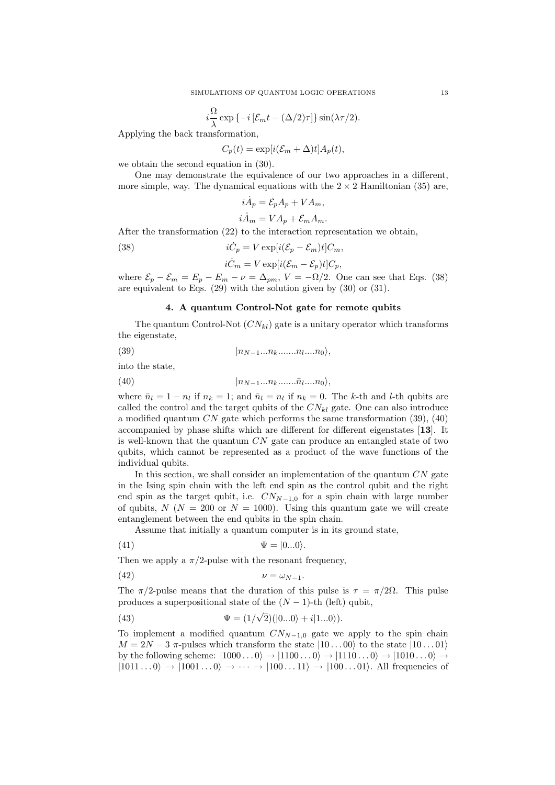$$
i\frac{\Omega}{\lambda}\exp\left\{-i\left[\mathcal{E}_m t - (\Delta/2)\tau\right]\right\}\sin(\lambda \tau/2).
$$

Applying the back transformation,

 $C_p(t) = \exp[i(\mathcal{E}_m + \Delta)t]A_p(t),$ 

we obtain the second equation in (30).

One may demonstrate the equivalence of our two approaches in a different, more simple, way. The dynamical equations with the  $2 \times 2$  Hamiltonian (35) are,

$$
i\dot{A}_p = \mathcal{E}_p A_p + V A_m,
$$
  

$$
i\dot{A}_m = V A_p + \mathcal{E}_m A_m.
$$

After the transformation (22) to the interaction representation we obtain,

(38)  $i\dot{C}$  $i\dot{C}_p = V \exp[i(\mathcal{E}_p - \mathcal{E}_m)t]C_m,$ 

$$
i\dot{C}_m = V \exp[i(\mathcal{E}_m - \mathcal{E}_p)t]C_p,
$$

where  $\mathcal{E}_p - \mathcal{E}_m = E_p - E_m - \nu = \Delta_{pm}$ ,  $V = -\Omega/2$ . One can see that Eqs. (38) are equivalent to Eqs. (29) with the solution given by (30) or (31).

## 4. A quantum Control-Not gate for remote qubits

The quantum Control-Not  $(CN_{kl})$  gate is a unitary operator which transforms the eigenstate,

$$
(39) \t\t\t\t\t |n_{N-1}...n_{k}........n_{l}...n_{0}\rangle,
$$

into the state,

$$
(40) \qquad \qquad |n_{N-1}...n_{k}........\bar{n}_{l}....n_{0}\rangle,
$$

where  $\bar{n}_l = 1 - n_l$  if  $n_k = 1$ ; and  $\bar{n}_l = n_l$  if  $n_k = 0$ . The k-th and l-th qubits are called the control and the target qubits of the  $CN_{kl}$  gate. One can also introduce a modified quantum  $CN$  gate which performs the same transformation (39), (40) accompanied by phase shifts which are different for different eigenstates [13]. It is well-known that the quantum  $CN$  gate can produce an entangled state of two qubits, which cannot be represented as a product of the wave functions of the individual qubits.

In this section, we shall consider an implementation of the quantum  $CN$  gate in the Ising spin chain with the left end spin as the control qubit and the right end spin as the target qubit, i.e.  $CN_{N-1,0}$  for a spin chain with large number of qubits,  $N(N = 200 \text{ or } N = 1000)$ . Using this quantum gate we will create entanglement between the end qubits in the spin chain.

Assume that initially a quantum computer is in its ground state,

$$
\Psi = |0...0\rangle.
$$

Then we apply a  $\pi/2$ -pulse with the resonant frequency,

$$
(42) \t\t\t \nu = \omega_{N-1}.
$$

The  $\pi/2$ -pulse means that the duration of this pulse is  $\tau = \pi/2\Omega$ . This pulse produces a superpositional state of the  $(N-1)$ -th (left) qubit,

(43) 
$$
\Psi = (1/\sqrt{2})(|0...0\rangle + i|1...0\rangle).
$$

To implement a modified quantum  $CN_{N-1,0}$  gate we apply to the spin chain  $M = 2N - 3 \pi$ -pulses which transform the state  $|10...00\rangle$  to the state  $|10...01\rangle$ by the following scheme:  $|1000...0\rangle \rightarrow |1100...0\rangle \rightarrow |1110...0\rangle \rightarrow |1010...0\rangle \rightarrow$  $|1011...0\rangle \rightarrow |1001...0\rangle \rightarrow \cdots \rightarrow |100...11\rangle \rightarrow |100...01\rangle$ . All frequencies of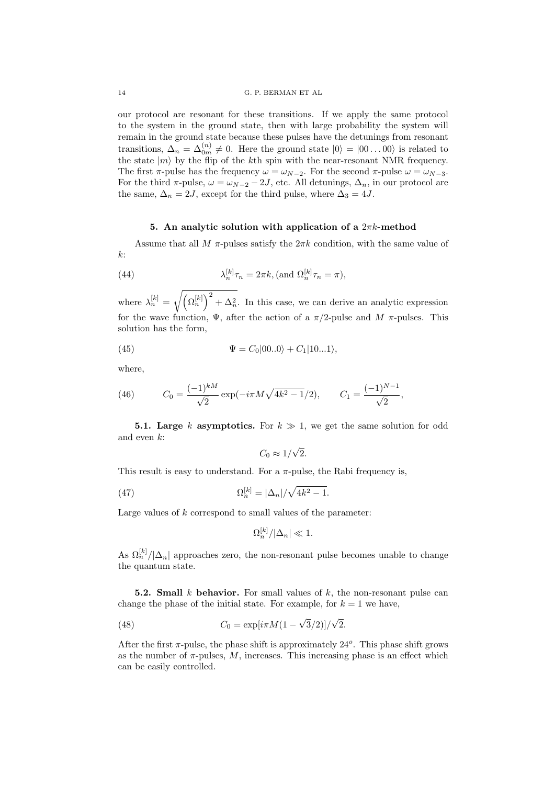our protocol are resonant for these transitions. If we apply the same protocol to the system in the ground state, then with large probability the system will remain in the ground state because these pulses have the detunings from resonant transitions,  $\Delta_n = \Delta_{0m}^{(n)} \neq 0$ . Here the ground state  $|0\rangle = |00...00\rangle$  is related to the state  $|m\rangle$  by the flip of the kth spin with the near-resonant NMR frequency. The first  $\pi$ -pulse has the frequency  $\omega = \omega_{N-2}$ . For the second  $\pi$ -pulse  $\omega = \omega_{N-3}$ . For the third  $\pi$ -pulse,  $\omega = \omega_{N-2} - 2J$ , etc. All detunings,  $\Delta_n$ , in our protocol are the same,  $\Delta_n = 2J$ , except for the third pulse, where  $\Delta_3 = 4J$ .

# 5. An analytic solution with application of a  $2\pi k$ -method

Assume that all M  $\pi$ -pulses satisfy the  $2\pi k$  condition, with the same value of  $k$ :

(44) 
$$
\lambda_n^{[k]}\tau_n = 2\pi k, \text{ (and } \Omega_n^{[k]}\tau_n = \pi),
$$

where  $\lambda_n^{[k]} = \sqrt{(\Omega_n^{[k]})^2 + \Delta_n^2}$ . In this case, we can derive an analytic expression for the wave function,  $\Psi$ , after the action of a  $\pi/2$ -pulse and  $M$   $\pi$ -pulses. This solution has the form,

(45) 
$$
\Psi = C_0|00..0\rangle + C_1|10...1\rangle,
$$

where,

(46) 
$$
C_0 = \frac{(-1)^{kM}}{\sqrt{2}} \exp(-i\pi M \sqrt{4k^2 - 1}/2), \qquad C_1 = \frac{(-1)^{N-1}}{\sqrt{2}},
$$

**5.1. Large** k asymptotics. For  $k \ge 1$ , we get the same solution for odd and even k:

$$
C_0 \approx 1/\sqrt{2}.
$$

This result is easy to understand. For a  $\pi$ -pulse, the Rabi frequency is,

(47) 
$$
\Omega_n^{[k]} = |\Delta_n| / \sqrt{4k^2 - 1}.
$$

Large values of  $k$  correspond to small values of the parameter:

$$
\Omega_n^{[k]}/|\Delta_n| \ll 1.
$$

As  $\Omega_n^{[k]}/|\Delta_n|$  approaches zero, the non-resonant pulse becomes unable to change the quantum state.

5.2. Small k behavior. For small values of  $k$ , the non-resonant pulse can change the phase of the initial state. For example, for  $k = 1$  we have,

(48) 
$$
C_0 = \exp[i\pi M(1 - \sqrt{3}/2)]/\sqrt{2}.
$$

After the first  $\pi$ -pulse, the phase shift is approximately  $24^o$ . This phase shift grows as the number of  $\pi$ -pulses, M, increases. This increasing phase is an effect which can be easily controlled.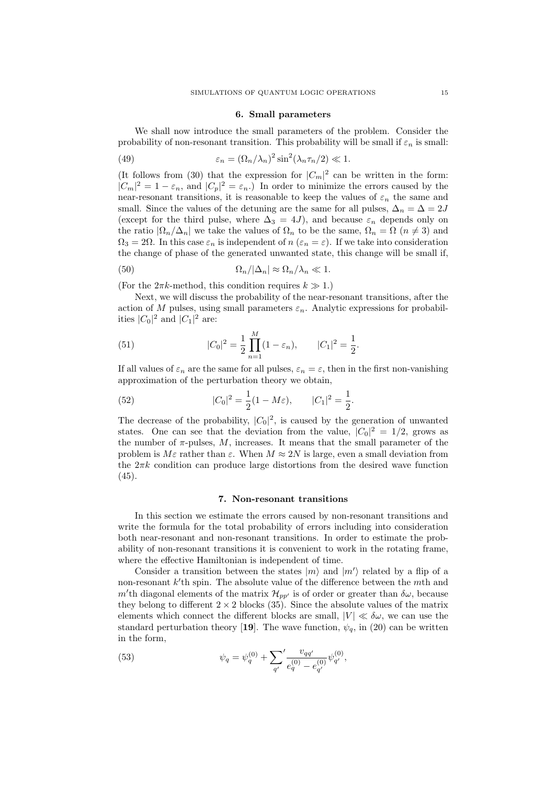#### 6. Small parameters

We shall now introduce the small parameters of the problem. Consider the probability of non-resonant transition. This probability will be small if  $\varepsilon_n$  is small:

(49) 
$$
\varepsilon_n = (\Omega_n/\lambda_n)^2 \sin^2(\lambda_n \tau_n/2) \ll 1.
$$

(It follows from (30) that the expression for  $|C_m|^2$  can be written in the form:  $|C_m|^2 = 1 - \varepsilon_n$ , and  $|C_p|^2 = \varepsilon_n$ . In order to minimize the errors caused by the near-resonant transitions, it is reasonable to keep the values of  $\varepsilon_n$  the same and small. Since the values of the detuning are the same for all pulses,  $\Delta_n = \Delta = 2J$ (except for the third pulse, where  $\Delta_3 = 4J$ ), and because  $\varepsilon_n$  depends only on the ratio  $|\Omega_n/\Delta_n|$  we take the values of  $\Omega_n$  to be the same,  $\Omega_n = \Omega$   $(n \neq 3)$  and  $\Omega_3 = 2\Omega$ . In this case  $\varepsilon_n$  is independent of  $n (\varepsilon_n = \varepsilon)$ . If we take into consideration the change of phase of the generated unwanted state, this change will be small if,

(50) 
$$
\Omega_n/|\Delta_n| \approx \Omega_n/\lambda_n \ll 1.
$$

(For the  $2\pi k$ -method, this condition requires  $k \gg 1$ .)

Next, we will discuss the probability of the near-resonant transitions, after the action of M pulses, using small parameters  $\varepsilon_n$ . Analytic expressions for probabilities  $|C_0|^2$  and  $|C_1|^2$  are:

(51) 
$$
|C_0|^2 = \frac{1}{2} \prod_{n=1}^{M} (1 - \varepsilon_n), \qquad |C_1|^2 = \frac{1}{2}.
$$

If all values of  $\varepsilon_n$  are the same for all pulses,  $\varepsilon_n = \varepsilon$ , then in the first non-vanishing approximation of the perturbation theory we obtain,

(52) 
$$
|C_0|^2 = \frac{1}{2}(1 - M\varepsilon), \qquad |C_1|^2 = \frac{1}{2}.
$$

The decrease of the probability,  $|C_0|^2$ , is caused by the generation of unwanted states. One can see that the deviation from the value,  $|C_0|^2 = 1/2$ , grows as the number of  $\pi$ -pulses,  $M$ , increases. It means that the small parameter of the problem is  $M\varepsilon$  rather than  $\varepsilon$ . When  $M \approx 2N$  is large, even a small deviation from the  $2\pi k$  condition can produce large distortions from the desired wave function (45).

#### 7. Non-resonant transitions

In this section we estimate the errors caused by non-resonant transitions and write the formula for the total probability of errors including into consideration both near-resonant and non-resonant transitions. In order to estimate the probability of non-resonant transitions it is convenient to work in the rotating frame, where the effective Hamiltonian is independent of time.

Consider a transition between the states  $|m\rangle$  and  $|m'\rangle$  related by a flip of a non-resonant  $k$ <sup>'</sup>th spin. The absolute value of the difference between the  $m$ <sup>th</sup> and m'th diagonal elements of the matrix  $\mathcal{H}_{pp'}$  is of order or greater than  $\delta\omega$ , because they belong to different  $2 \times 2$  blocks (35). Since the absolute values of the matrix elements which connect the different blocks are small,  $|V| \ll \delta \omega$ , we can use the standard perturbation theory [19]. The wave function,  $\psi_q$ , in (20) can be written in the form,

(53) 
$$
\psi_q = \psi_q^{(0)} + \sum_{q'} \frac{v_{qq'}}{e_q^{(0)} - e_{q'}^{(0)}} \psi_{q'}^{(0)},
$$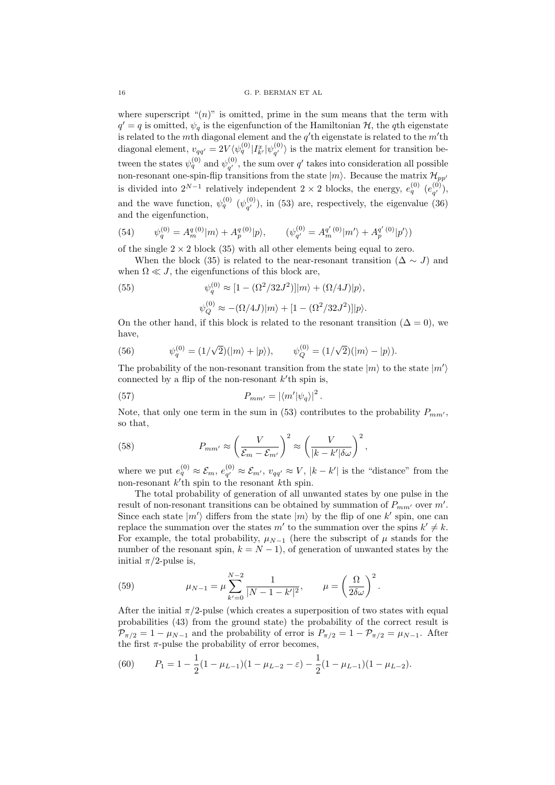where superscript " $(n)$ " is omitted, prime in the sum means that the term with  $q' = q$  is omitted,  $\psi_q$  is the eigenfunction of the Hamiltonian H, the qth eigenstate is related to the m<sup>th</sup> diagonal element and the  $q'$ th eigenstate is related to the m'th diagonal element,  $v_{qq'} = 2V \langle \psi_q^{(0)} | I_{k'}^x | \psi_{q'}^{(0)} \rangle$  $\langle \begin{array}{c} (0) \\ q' \end{array} \rangle$  is the matrix element for transition between the states  $\psi_q^{(0)}$  and  $\psi_{q'}^{(0)}$  $q'$ , the sum over  $q'$  takes into consideration all possible non-resonant one-spin-flip transitions from the state  $|m\rangle$ . Because the matrix  $\mathcal{H}_{pp'}$ is divided into  $2^{N-1}$  relatively independent  $2 \times 2$  blocks, the energy,  $e_q^{(0)}$   $(e_{q'}^{(0)}$  $\binom{(0)}{q'}$ , and the wave function,  $\psi_q^{(0)}$  ( $\psi_{q'}^{(0)}$ )  $\mathbf{q}^{(0)}_q$ , in (53) are, respectively, the eigenvalue (36) and the eigenfunction,

(54) 
$$
\psi_q^{(0)} = A_m^{q(0)}|m\rangle + A_p^{q(0)}|p\rangle, \qquad (\psi_{q'}^{(0)} = A_m^{q'(0)}|m'\rangle + A_p^{q'(0)}|p'\rangle)
$$

of the single  $2 \times 2$  block (35) with all other elements being equal to zero.

When the block (35) is related to the near-resonant transition ( $\Delta \sim J$ ) and when  $\Omega \ll J$ , the eigenfunctions of this block are,

(55) 
$$
\psi_q^{(0)} \approx [1 - (\Omega^2/32J^2)]|m\rangle + (\Omega/4J)|p\rangle,
$$

 $\psi_Q^{(0)} \approx -(\Omega/4J)|m\rangle + [1 - (\Omega^2/32J^2)]|p\rangle.$ 

On the other hand, if this block is related to the resonant transition ( $\Delta = 0$ ), we have,

(56) 
$$
\psi_q^{(0)} = (1/\sqrt{2})(\ket{m} + \ket{p}), \qquad \psi_Q^{(0)} = (1/\sqrt{2})(\ket{m} - \ket{p}).
$$

The probability of the non-resonant transition from the state  $|m\rangle$  to the state  $|m'\rangle$ connected by a flip of the non-resonant  $k$ <sup>'</sup>th spin is,

(57) 
$$
P_{mm'} = |\langle m'|\psi_q\rangle|^2.
$$

Note, that only one term in the sum in (53) contributes to the probability  $P_{mm'}$ , so that,

(58) 
$$
P_{mm'} \approx \left(\frac{V}{\mathcal{E}_m - \mathcal{E}_{m'}}\right)^2 \approx \left(\frac{V}{|k - k'| \delta \omega}\right)^2,
$$

where we put  $e_q^{(0)} \approx \mathcal{E}_m, e_{q'}^{(0)}$  $\zeta_{q'}^{(0)} \approx \mathcal{E}_{m'}$ ,  $v_{qq'} \approx V$ ,  $|k - k'|$  is the "distance" from the non-resonant  $k'$ th spin to the resonant  $k$ th spin.

The total probability of generation of all unwanted states by one pulse in the result of non-resonant transitions can be obtained by summation of  $P_{mm'}$  over m'. Since each state  $|m'\rangle$  differs from the state  $|m\rangle$  by the flip of one k' spin, one can replace the summation over the states m' to the summation over the spins  $k' \neq k$ . For example, the total probability,  $\mu_{N-1}$  (here the subscript of  $\mu$  stands for the number of the resonant spin,  $k = N - 1$ ), of generation of unwanted states by the initial  $\pi/2$ -pulse is,

(59) 
$$
\mu_{N-1} = \mu \sum_{k'=0}^{N-2} \frac{1}{|N-1-k'|^2}, \qquad \mu = \left(\frac{\Omega}{2\delta\omega}\right)^2.
$$

After the initial  $\pi/2$ -pulse (which creates a superposition of two states with equal probabilities (43) from the ground state) the probability of the correct result is  $\mathcal{P}_{\pi/2} = 1 - \mu_{N-1}$  and the probability of error is  $P_{\pi/2} = 1 - \mathcal{P}_{\pi/2} = \mu_{N-1}$ . After the first  $\pi$ -pulse the probability of error becomes,

(60) 
$$
P_1 = 1 - \frac{1}{2}(1 - \mu_{L-1})(1 - \mu_{L-2} - \varepsilon) - \frac{1}{2}(1 - \mu_{L-1})(1 - \mu_{L-2}).
$$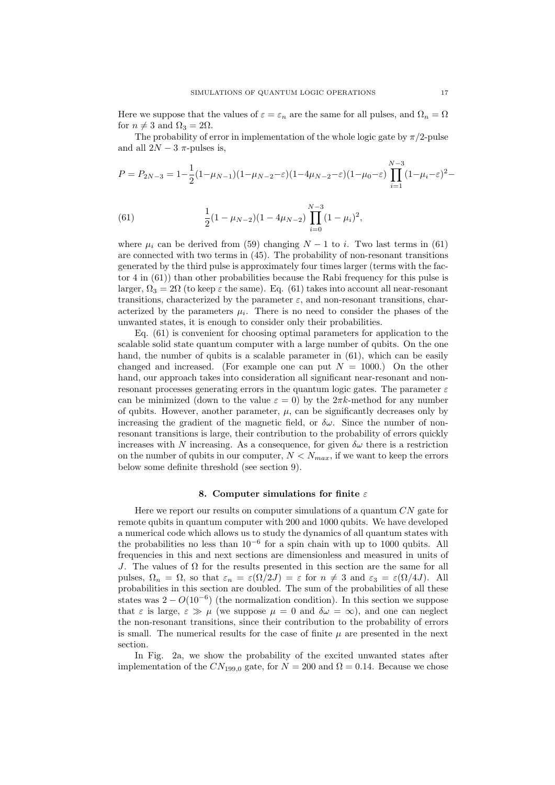Here we suppose that the values of  $\varepsilon = \varepsilon_n$  are the same for all pulses, and  $\Omega_n = \Omega$ for  $n \neq 3$  and  $\Omega_3 = 2\Omega$ .

The probability of error in implementation of the whole logic gate by  $\pi/2$ -pulse and all  $2N-3$   $\pi$ -pulses is,

$$
P = P_{2N-3} = 1 - \frac{1}{2}(1 - \mu_{N-1})(1 - \mu_{N-2} - \varepsilon)(1 - 4\mu_{N-2} - \varepsilon)(1 - \mu_0 - \varepsilon) \prod_{i=1}^{N-3} (1 - \mu_i - \varepsilon)^2 -
$$

(61) 
$$
\frac{1}{2}(1 - \mu_{N-2})(1 - 4\mu_{N-2}) \prod_{i=0}^{N-3} (1 - \mu_i)^2,
$$

where  $\mu_i$  can be derived from (59) changing  $N-1$  to i. Two last terms in (61) are connected with two terms in (45). The probability of non-resonant transitions generated by the third pulse is approximately four times larger (terms with the factor 4 in (61)) than other probabilities because the Rabi frequency for this pulse is larger,  $\Omega_3 = 2\Omega$  (to keep  $\varepsilon$  the same). Eq. (61) takes into account all near-resonant transitions, characterized by the parameter  $\varepsilon$ , and non-resonant transitions, characterized by the parameters  $\mu_i$ . There is no need to consider the phases of the unwanted states, it is enough to consider only their probabilities.

Eq. (61) is convenient for choosing optimal parameters for application to the scalable solid state quantum computer with a large number of qubits. On the one hand, the number of qubits is a scalable parameter in (61), which can be easily changed and increased. (For example one can put  $N = 1000$ .) On the other hand, our approach takes into consideration all significant near-resonant and nonresonant processes generating errors in the quantum logic gates. The parameter  $\varepsilon$ can be minimized (down to the value  $\varepsilon = 0$ ) by the  $2\pi k$ -method for any number of qubits. However, another parameter,  $\mu$ , can be significantly decreases only by increasing the gradient of the magnetic field, or  $\delta \omega$ . Since the number of nonresonant transitions is large, their contribution to the probability of errors quickly increases with N increasing. As a consequence, for given  $\delta \omega$  there is a restriction on the number of qubits in our computer,  $N < N_{max}$ , if we want to keep the errors below some definite threshold (see section 9).

#### 8. Computer simulations for finite  $\varepsilon$

Here we report our results on computer simulations of a quantum  $CN$  gate for remote qubits in quantum computer with 200 and 1000 qubits. We have developed a numerical code which allows us to study the dynamics of all quantum states with the probabilities no less than  $10^{-6}$  for a spin chain with up to 1000 qubits. All frequencies in this and next sections are dimensionless and measured in units of J. The values of  $\Omega$  for the results presented in this section are the same for all pulses,  $\Omega_n = \Omega$ , so that  $\varepsilon_n = \varepsilon(\Omega/2J) = \varepsilon$  for  $n \neq 3$  and  $\varepsilon_3 = \varepsilon(\Omega/4J)$ . All probabilities in this section are doubled. The sum of the probabilities of all these states was  $2 - O(10^{-6})$  (the normalization condition). In this section we suppose that  $\varepsilon$  is large,  $\varepsilon \gg \mu$  (we suppose  $\mu = 0$  and  $\delta \omega = \infty$ ), and one can neglect the non-resonant transitions, since their contribution to the probability of errors is small. The numerical results for the case of finite  $\mu$  are presented in the next section.

In Fig. 2a, we show the probability of the excited unwanted states after implementation of the  $CN_{199,0}$  gate, for  $N = 200$  and  $\Omega = 0.14$ . Because we chose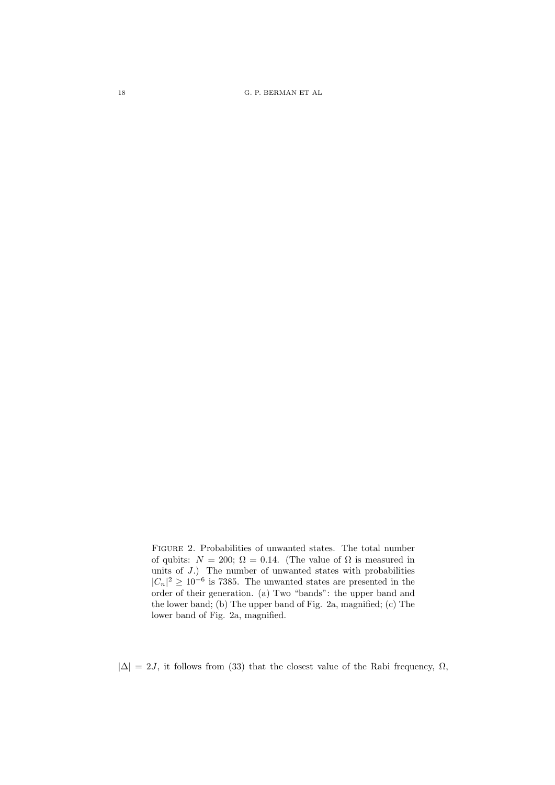18 G. P. BERMAN ET AL

Figure 2. Probabilities of unwanted states. The total number of qubits:  $N = 200$ ;  $\Omega = 0.14$ . (The value of  $\Omega$  is measured in units of J.) The number of unwanted states with probabilities  $|C_n|^2 \geq 10^{-6}$  is 7385. The unwanted states are presented in the order of their generation. (a) Two "bands": the upper band and the lower band; (b) The upper band of Fig. 2a, magnified; (c) The lower band of Fig. 2a, magnified.

 $|\Delta| = 2J$ , it follows from (33) that the closest value of the Rabi frequency,  $\Omega$ ,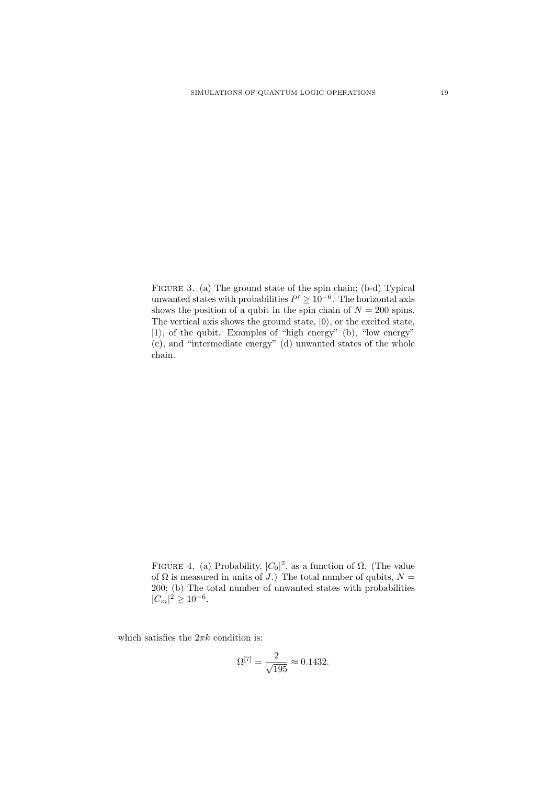FIGURE 3. (a) The ground state of the spin chain; (b-d) Typical unwanted states with probabilities  $P' \geq 10^{-6}$ . The horizontal axis shows the position of a qubit in the spin chain of  $N = 200$  spins. The vertical axis shows the ground state,  $|0\rangle$ , or the excited state,  $|1\rangle$ , of the qubit. Examples of "high energy" (b), "low energy" (c), and "intermediate energy" (d) unwanted states of the whole chain.

FIGURE 4. (a) Probability,  $|C_0|^2$ , as a function of  $\Omega$ . (The value of  $\Omega$  is measured in units of J.) The total number of qubits,  $N =$ 200; (b) The total number of unwanted states with probabilities  $|C_m|^2 \geq 10^{-6}$ .

which satisfies the  $2\pi k$  condition is:

$$
\Omega^{[7]} = \frac{2}{\sqrt{195}} \approx 0.1432.
$$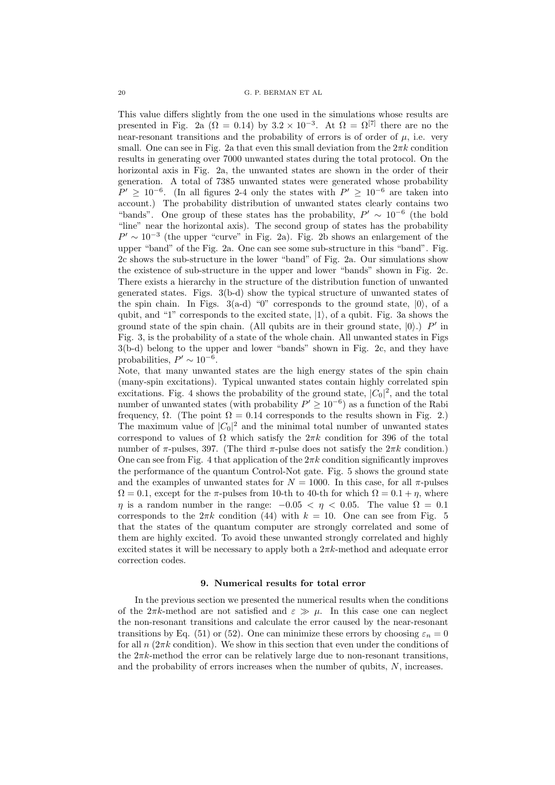This value differs slightly from the one used in the simulations whose results are presented in Fig. 2a ( $\Omega = 0.14$ ) by  $3.2 \times 10^{-3}$ . At  $\Omega = \Omega^{[7]}$  there are no the near-resonant transitions and the probability of errors is of order of  $\mu$ , i.e. very small. One can see in Fig. 2a that even this small deviation from the  $2\pi k$  condition results in generating over 7000 unwanted states during the total protocol. On the horizontal axis in Fig. 2a, the unwanted states are shown in the order of their generation. A total of 7385 unwanted states were generated whose probability  $P' \geq 10^{-6}$ . (In all figures 2-4 only the states with  $P' \geq 10^{-6}$  are taken into account.) The probability distribution of unwanted states clearly contains two "bands". One group of these states has the probability,  $P' \sim 10^{-6}$  (the bold "line" near the horizontal axis). The second group of states has the probability  $P' \sim 10^{-3}$  (the upper "curve" in Fig. 2a). Fig. 2b shows an enlargement of the upper "band" of the Fig. 2a. One can see some sub-structure in this "band". Fig. 2c shows the sub-structure in the lower "band" of Fig. 2a. Our simulations show the existence of sub-structure in the upper and lower "bands" shown in Fig. 2c. There exists a hierarchy in the structure of the distribution function of unwanted generated states. Figs. 3(b-d) show the typical structure of unwanted states of the spin chain. In Figs.  $3(a-d)$  "0" corresponds to the ground state,  $|0\rangle$ , of a qubit, and "1" corresponds to the excited state,  $|1\rangle$ , of a qubit. Fig. 3a shows the ground state of the spin chain. (All qubits are in their ground state,  $|0\rangle$ .) P' in Fig. 3, is the probability of a state of the whole chain. All unwanted states in Figs 3(b-d) belong to the upper and lower "bands" shown in Fig. 2c, and they have probabilities,  $P' \sim 10^{-6}$ .

Note, that many unwanted states are the high energy states of the spin chain (many-spin excitations). Typical unwanted states contain highly correlated spin excitations. Fig. 4 shows the probability of the ground state,  $|C_0|^2$ , and the total number of unwanted states (with probability  $P' \geq 10^{-6}$ ) as a function of the Rabi frequency,  $\Omega$ . (The point  $\Omega = 0.14$  corresponds to the results shown in Fig. 2.) The maximum value of  $|C_0|^2$  and the minimal total number of unwanted states correspond to values of  $\Omega$  which satisfy the  $2\pi k$  condition for 396 of the total number of  $\pi$ -pulses, 397. (The third  $\pi$ -pulse does not satisfy the  $2\pi k$  condition.) One can see from Fig. 4 that application of the  $2\pi k$  condition significantly improves the performance of the quantum Control-Not gate. Fig. 5 shows the ground state and the examples of unwanted states for  $N = 1000$ . In this case, for all  $\pi$ -pulses  $\Omega = 0.1$ , except for the  $\pi$ -pulses from 10-th to 40-th for which  $\Omega = 0.1 + \eta$ , where  $\eta$  is a random number in the range:  $-0.05 < \eta < 0.05$ . The value  $\Omega = 0.1$ corresponds to the  $2\pi k$  condition (44) with  $k = 10$ . One can see from Fig. 5 that the states of the quantum computer are strongly correlated and some of them are highly excited. To avoid these unwanted strongly correlated and highly excited states it will be necessary to apply both a  $2\pi k$ -method and adequate error correction codes.

## 9. Numerical results for total error

In the previous section we presented the numerical results when the conditions of the  $2\pi k$ -method are not satisfied and  $\varepsilon \gg \mu$ . In this case one can neglect the non-resonant transitions and calculate the error caused by the near-resonant transitions by Eq. (51) or (52). One can minimize these errors by choosing  $\varepsilon_n = 0$ for all  $n(2\pi k \text{ condition})$ . We show in this section that even under the conditions of the  $2\pi k$ -method the error can be relatively large due to non-resonant transitions, and the probability of errors increases when the number of qubits,  $N$ , increases.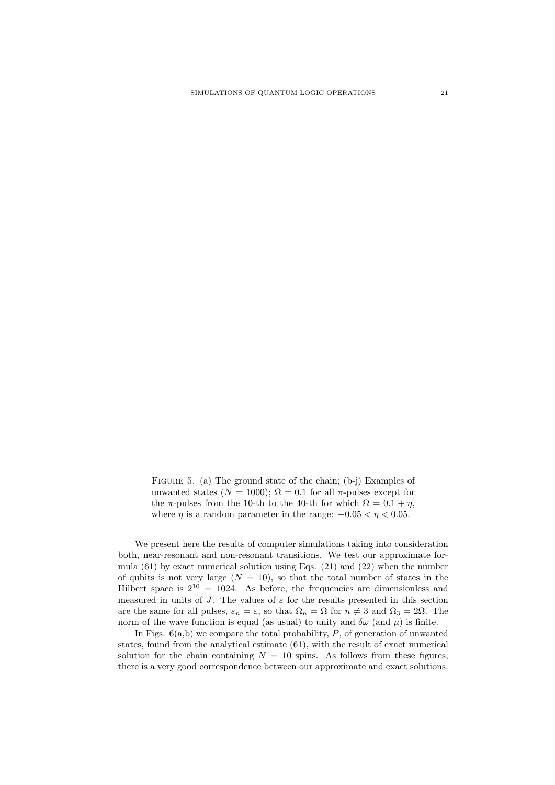FIGURE 5. (a) The ground state of the chain; (b-j) Examples of unwanted states ( $N = 1000$ );  $\Omega = 0.1$  for all  $\pi$ -pulses except for the  $\pi$ -pulses from the 10-th to the 40-th for which  $\Omega = 0.1 + \eta$ , where  $\eta$  is a random parameter in the range:  $-0.05 < \eta < 0.05$ .

We present here the results of computer simulations taking into consideration both, near-resonant and non-resonant transitions. We test our approximate formula  $(61)$  by exact numerical solution using Eqs.  $(21)$  and  $(22)$  when the number of qubits is not very large  $(N = 10)$ , so that the total number of states in the Hilbert space is  $2^{10} = 1024$ . As before, the frequencies are dimensionless and measured in units of J. The values of  $\varepsilon$  for the results presented in this section are the same for all pulses,  $\varepsilon_n = \varepsilon$ , so that  $\Omega_n = \Omega$  for  $n \neq 3$  and  $\Omega_3 = 2\Omega$ . The norm of the wave function is equal (as usual) to unity and  $\delta\omega$  (and  $\mu$ ) is finite.

In Figs.  $6(a,b)$  we compare the total probability,  $P$ , of generation of unwanted states, found from the analytical estimate (61), with the result of exact numerical solution for the chain containing  $N = 10$  spins. As follows from these figures, there is a very good correspondence between our approximate and exact solutions.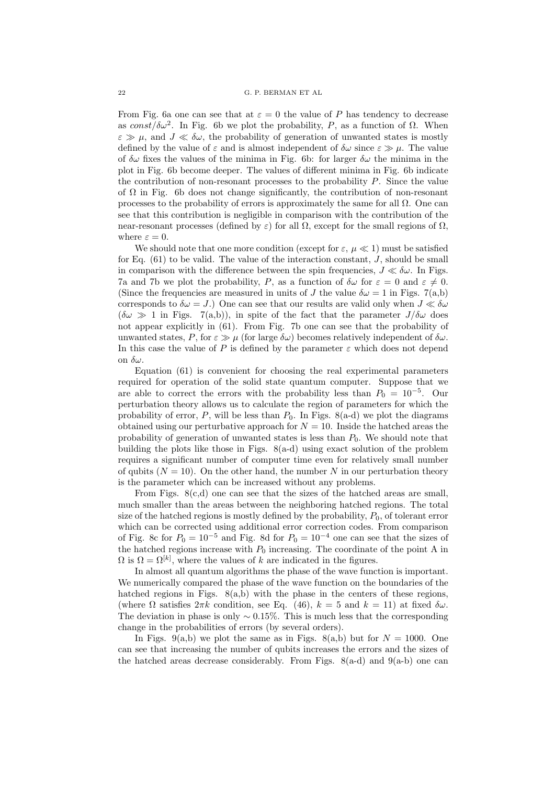From Fig. 6a one can see that at  $\varepsilon = 0$  the value of P has tendency to decrease as const/ $\delta \omega^2$ . In Fig. 6b we plot the probability, P, as a function of  $\Omega$ . When  $\varepsilon \gg \mu$ , and  $J \ll \delta \omega$ , the probability of generation of unwanted states is mostly defined by the value of  $\varepsilon$  and is almost independent of  $\delta\omega$  since  $\varepsilon \gg \mu$ . The value of  $\delta\omega$  fixes the values of the minima in Fig. 6b: for larger  $\delta\omega$  the minima in the plot in Fig. 6b become deeper. The values of different minima in Fig. 6b indicate the contribution of non-resonant processes to the probability  $P$ . Since the value of  $\Omega$  in Fig. 6b does not change significantly, the contribution of non-resonant processes to the probability of errors is approximately the same for all  $\Omega$ . One can see that this contribution is negligible in comparison with the contribution of the near-resonant processes (defined by  $\varepsilon$ ) for all  $\Omega$ , except for the small regions of  $\Omega$ , where  $\varepsilon = 0$ .

We should note that one more condition (except for  $\varepsilon, \mu \ll 1$ ) must be satisfied for Eq.  $(61)$  to be valid. The value of the interaction constant, J, should be small in comparison with the difference between the spin frequencies,  $J \ll \delta \omega$ . In Figs. 7a and 7b we plot the probability, P, as a function of  $\delta\omega$  for  $\varepsilon = 0$  and  $\varepsilon \neq 0$ . (Since the frequencies are measured in units of J the value  $\delta \omega = 1$  in Figs. 7(a,b) corresponds to  $\delta \omega = J$ .) One can see that our results are valid only when  $J \ll \delta \omega$  $(\delta \omega \gg 1$  in Figs. 7(a,b)), in spite of the fact that the parameter  $J/\delta \omega$  does not appear explicitly in (61). From Fig. 7b one can see that the probability of unwanted states, P, for  $\varepsilon \gg \mu$  (for large  $\delta \omega$ ) becomes relatively independent of  $\delta \omega$ . In this case the value of P is defined by the parameter  $\varepsilon$  which does not depend on  $\delta\omega$ .

Equation (61) is convenient for choosing the real experimental parameters required for operation of the solid state quantum computer. Suppose that we are able to correct the errors with the probability less than  $P_0 = 10^{-5}$ . Our perturbation theory allows us to calculate the region of parameters for which the probability of error, P, will be less than  $P_0$ . In Figs. 8(a-d) we plot the diagrams obtained using our perturbative approach for  $N = 10$ . Inside the hatched areas the probability of generation of unwanted states is less than  $P_0$ . We should note that building the plots like those in Figs. 8(a-d) using exact solution of the problem requires a significant number of computer time even for relatively small number of qubits ( $N = 10$ ). On the other hand, the number N in our perturbation theory is the parameter which can be increased without any problems.

From Figs.  $8(c,d)$  one can see that the sizes of the hatched areas are small, much smaller than the areas between the neighboring hatched regions. The total size of the hatched regions is mostly defined by the probability,  $P_0$ , of tolerant error which can be corrected using additional error correction codes. From comparison of Fig. 8c for  $P_0 = 10^{-5}$  and Fig. 8d for  $P_0 = 10^{-4}$  one can see that the sizes of the hatched regions increase with  $P_0$  increasing. The coordinate of the point A in  $\Omega$  is  $\Omega = \Omega^{[k]}$ , where the values of k are indicated in the figures.

In almost all quantum algorithms the phase of the wave function is important. We numerically compared the phase of the wave function on the boundaries of the hatched regions in Figs.  $8(a,b)$  with the phase in the centers of these regions, (where  $\Omega$  satisfies  $2\pi k$  condition, see Eq. (46),  $k = 5$  and  $k = 11$ ) at fixed  $\delta \omega$ . The deviation in phase is only  $\sim 0.15\%$ . This is much less that the corresponding change in the probabilities of errors (by several orders).

In Figs. 9(a,b) we plot the same as in Figs. 8(a,b) but for  $N = 1000$ . One can see that increasing the number of qubits increases the errors and the sizes of the hatched areas decrease considerably. From Figs.  $8(a-d)$  and  $9(a-b)$  one can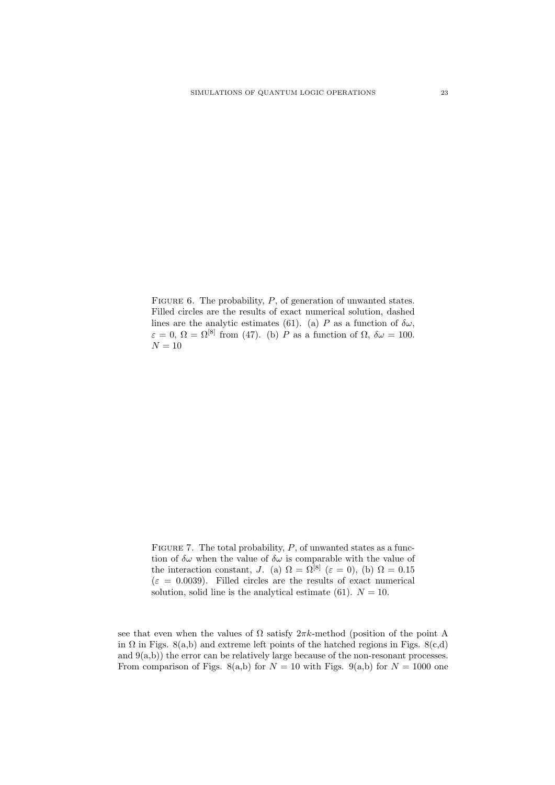FIGURE 6. The probability,  $P$ , of generation of unwanted states. Filled circles are the results of exact numerical solution, dashed lines are the analytic estimates (61). (a) P as a function of  $\delta\omega$ ,  $\varepsilon = 0$ ,  $\Omega = \Omega^{[8]}$  from (47). (b) P as a function of  $\Omega$ ,  $\delta \omega = 100$ .  ${\cal N}=10$ 

FIGURE 7. The total probability,  $P$ , of unwanted states as a function of  $\delta\omega$  when the value of  $\delta\omega$  is comparable with the value of the interaction constant, J. (a)  $\Omega = \Omega^{[8]}$  ( $\varepsilon = 0$ ), (b)  $\Omega = 0.15$  $(\varepsilon = 0.0039)$ . Filled circles are the results of exact numerical solution, solid line is the analytical estimate (61).  $N = 10$ .

see that even when the values of  $\Omega$  satisfy  $2\pi k$ -method (position of the point A in  $\Omega$  in Figs. 8(a,b) and extreme left points of the hatched regions in Figs. 8(c,d) and  $9(a,b)$ ) the error can be relatively large because of the non-resonant processes. From comparison of Figs. 8(a,b) for  $N = 10$  with Figs. 9(a,b) for  $N = 1000$  one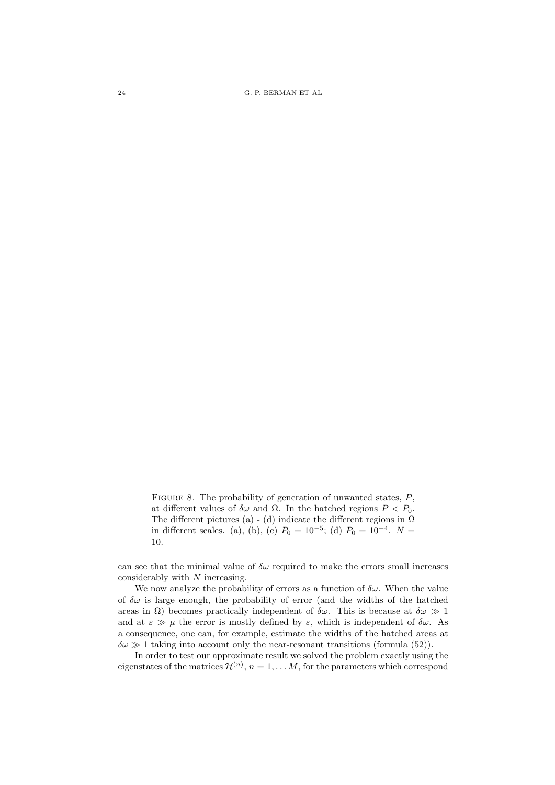24 G. P. BERMAN ET AL

FIGURE 8. The probability of generation of unwanted states,  $P$ , at different values of  $\delta \omega$  and  $\Omega$ . In the hatched regions  $P < P_0$ . The different pictures (a) - (d) indicate the different regions in  $\Omega$ in different scales. (a), (b), (c)  $P_0 = 10^{-5}$ ; (d)  $P_0 = 10^{-4}$ .  $N =$ 10.

can see that the minimal value of  $\delta\omega$  required to make the errors small increases considerably with N increasing.

We now analyze the probability of errors as a function of  $\delta \omega$ . When the value of  $\delta\omega$  is large enough, the probability of error (and the widths of the hatched areas in  $\Omega$ ) becomes practically independent of  $\delta\omega$ . This is because at  $\delta\omega \gg 1$ and at  $\varepsilon \gg \mu$  the error is mostly defined by  $\varepsilon$ , which is independent of  $\delta \omega$ . As a consequence, one can, for example, estimate the widths of the hatched areas at  $\delta\omega \gg 1$  taking into account only the near-resonant transitions (formula (52)).

In order to test our approximate result we solved the problem exactly using the eigenstates of the matrices  $\mathcal{H}^{(n)}$ ,  $n = 1, \ldots M$ , for the parameters which correspond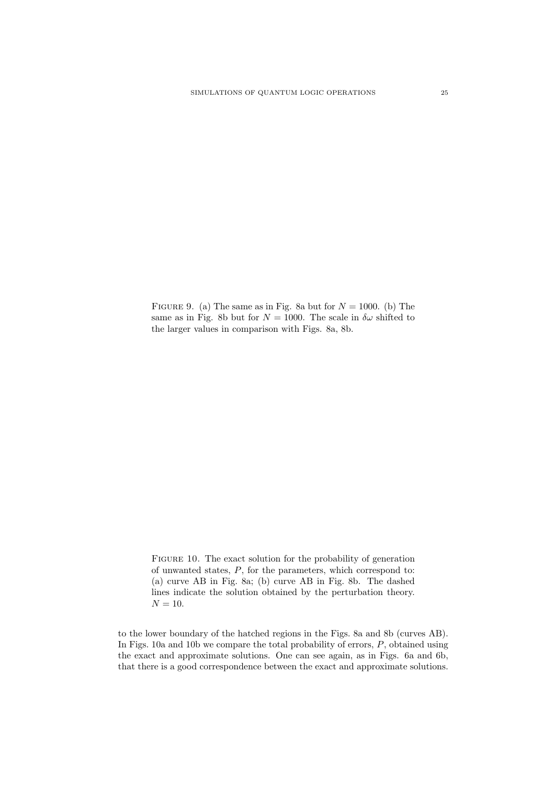FIGURE 9. (a) The same as in Fig. 8a but for  $N = 1000$ . (b) The same as in Fig. 8b but for  $N = 1000$ . The scale in  $\delta \omega$  shifted to the larger values in comparison with Figs. 8a, 8b.

FIGURE 10. The exact solution for the probability of generation of unwanted states,  $P$ , for the parameters, which correspond to: (a) curve AB in Fig. 8a; (b) curve AB in Fig. 8b. The dashed lines indicate the solution obtained by the perturbation theory.  $N = 10$ .

to the lower boundary of the hatched regions in the Figs. 8a and 8b (curves AB). In Figs. 10a and 10b we compare the total probability of errors, P, obtained using the exact and approximate solutions. One can see again, as in Figs. 6a and 6b, that there is a good correspondence between the exact and approximate solutions.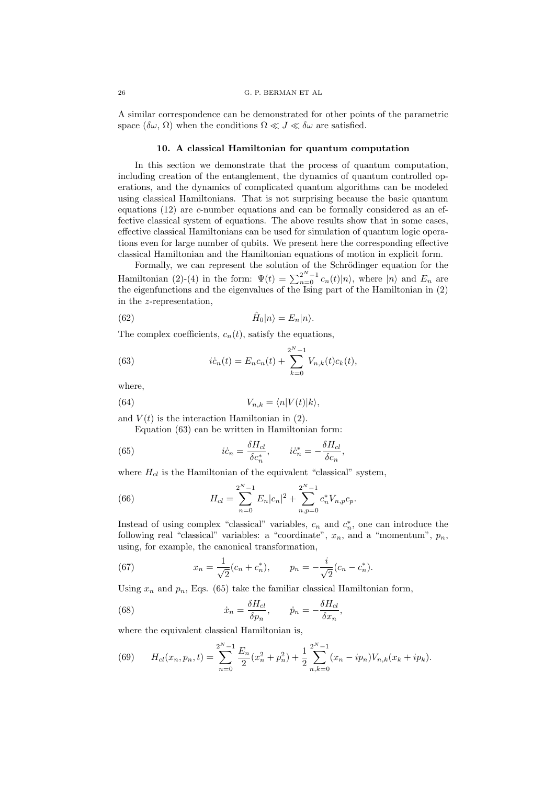A similar correspondence can be demonstrated for other points of the parametric space  $(\delta\omega, \Omega)$  when the conditions  $\Omega \ll J \ll \delta\omega$  are satisfied.

# 10. A classical Hamiltonian for quantum computation

In this section we demonstrate that the process of quantum computation, including creation of the entanglement, the dynamics of quantum controlled operations, and the dynamics of complicated quantum algorithms can be modeled using classical Hamiltonians. That is not surprising because the basic quantum equations (12) are c-number equations and can be formally considered as an effective classical system of equations. The above results show that in some cases, effective classical Hamiltonians can be used for simulation of quantum logic operations even for large number of qubits. We present here the corresponding effective classical Hamiltonian and the Hamiltonian equations of motion in explicit form.

Formally, we can represent the solution of the Schrödinger equation for the Hamiltonian (2)-(4) in the form:  $\Psi(t) = \sum_{n=0}^{2^N-1} c_n(t) |n\rangle$ , where  $|n\rangle$  and  $E_n$  are the eigenfunctions and the eigenvalues of the Ising part of the Hamiltonian in (2) in the z-representation,

(62) 
$$
\hat{H}_0|n\rangle = E_n|n\rangle.
$$

The complex coefficients,  $c_n(t)$ , satisfy the equations,

(63) 
$$
i\dot{c}_n(t) = E_n c_n(t) + \sum_{k=0}^{2^N - 1} V_{n,k}(t) c_k(t),
$$

where,

(64) 
$$
V_{n,k} = \langle n|V(t)|k\rangle,
$$

and  $V(t)$  is the interaction Hamiltonian in (2).

Equation (63) can be written in Hamiltonian form:

(65) 
$$
i\dot{c}_n = \frac{\delta H_{cl}}{\delta c_n^*}, \qquad i\dot{c}_n^* = -\frac{\delta H_{cl}}{\delta c_n}
$$

where  $H_{cl}$  is the Hamiltonian of the equivalent "classical" system,

(66) 
$$
H_{cl} = \sum_{n=0}^{2^N-1} E_n |c_n|^2 + \sum_{n,p=0}^{2^N-1} c_n^* V_{n,p} c_p.
$$

Instead of using complex "classical" variables,  $c_n$  and  $c_n^*$ , one can introduce the following real "classical" variables: a "coordinate",  $x_n$ , and a "momentum",  $p_n$ , using, for example, the canonical transformation,

,

(67) 
$$
x_n = \frac{1}{\sqrt{2}}(c_n + c_n^*), \qquad p_n = -\frac{i}{\sqrt{2}}(c_n - c_n^*).
$$

Using  $x_n$  and  $p_n$ , Eqs. (65) take the familiar classical Hamiltonian form,

(68) 
$$
\dot{x}_n = \frac{\delta H_{cl}}{\delta p_n}, \qquad \dot{p}_n = -\frac{\delta H_{cl}}{\delta x_n},
$$

where the equivalent classical Hamiltonian is,

(69) 
$$
H_{cl}(x_n, p_n, t) = \sum_{n=0}^{2^N-1} \frac{E_n}{2} (x_n^2 + p_n^2) + \frac{1}{2} \sum_{n,k=0}^{2^N-1} (x_n - ip_n) V_{n,k} (x_k + ip_k).
$$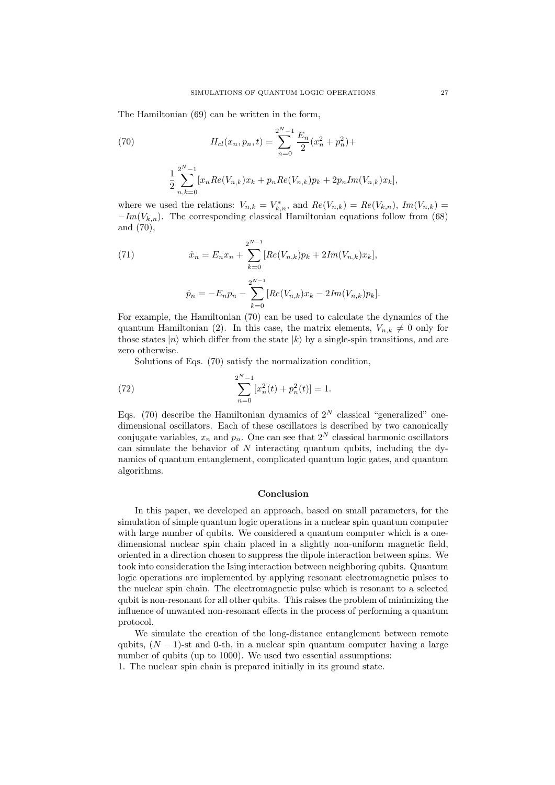The Hamiltonian (69) can be written in the form,

(70) 
$$
H_{cl}(x_n, p_n, t) = \sum_{n=0}^{2^N - 1} \frac{E_n}{2} (x_n^2 + p_n^2) +
$$

$$
\frac{1}{2} \sum_{n,k=0}^{2^N - 1} [x_n Re(V_{n,k}) x_k + p_n Re(V_{n,k}) p_k + 2p_n Im(V_{n,k}) x_k],
$$

where we used the relations:  $V_{n,k} = V_{k,n}^*$ , and  $Re(V_{n,k}) = Re(V_{k,n})$ ,  $Im(V_{n,k}) =$  $-Im(V_{k,n})$ . The corresponding classical Hamiltonian equations follow from (68) and (70),

(71) 
$$
\dot{x}_n = E_n x_n + \sum_{k=0}^{2^{N-1}} [Re(V_{n,k})p_k + 2Im(V_{n,k})x_k],
$$

$$
\dot{p}_n = -E_n p_n - \sum_{k=0}^{2^{N-1}} [Re(V_{n,k})x_k - 2Im(V_{n,k})p_k].
$$

For example, the Hamiltonian (70) can be used to calculate the dynamics of the quantum Hamiltonian (2). In this case, the matrix elements,  $V_{n,k} \neq 0$  only for those states  $|n\rangle$  which differ from the state  $|k\rangle$  by a single-spin transitions, and are zero otherwise.

Solutions of Eqs. (70) satisfy the normalization condition,

(72) 
$$
\sum_{n=0}^{2^N-1} [x_n^2(t) + p_n^2(t)] = 1.
$$

Eqs. (70) describe the Hamiltonian dynamics of  $2^N$  classical "generalized" onedimensional oscillators. Each of these oscillators is described by two canonically conjugate variables,  $x_n$  and  $p_n$ . One can see that  $2^N$  classical harmonic oscillators can simulate the behavior of  $N$  interacting quantum qubits, including the dynamics of quantum entanglement, complicated quantum logic gates, and quantum algorithms.

# Conclusion

In this paper, we developed an approach, based on small parameters, for the simulation of simple quantum logic operations in a nuclear spin quantum computer with large number of qubits. We considered a quantum computer which is a onedimensional nuclear spin chain placed in a slightly non-uniform magnetic field, oriented in a direction chosen to suppress the dipole interaction between spins. We took into consideration the Ising interaction between neighboring qubits. Quantum logic operations are implemented by applying resonant electromagnetic pulses to the nuclear spin chain. The electromagnetic pulse which is resonant to a selected qubit is non-resonant for all other qubits. This raises the problem of minimizing the influence of unwanted non-resonant effects in the process of performing a quantum protocol.

We simulate the creation of the long-distance entanglement between remote qubits,  $(N - 1)$ -st and 0-th, in a nuclear spin quantum computer having a large number of qubits (up to 1000). We used two essential assumptions:

1. The nuclear spin chain is prepared initially in its ground state.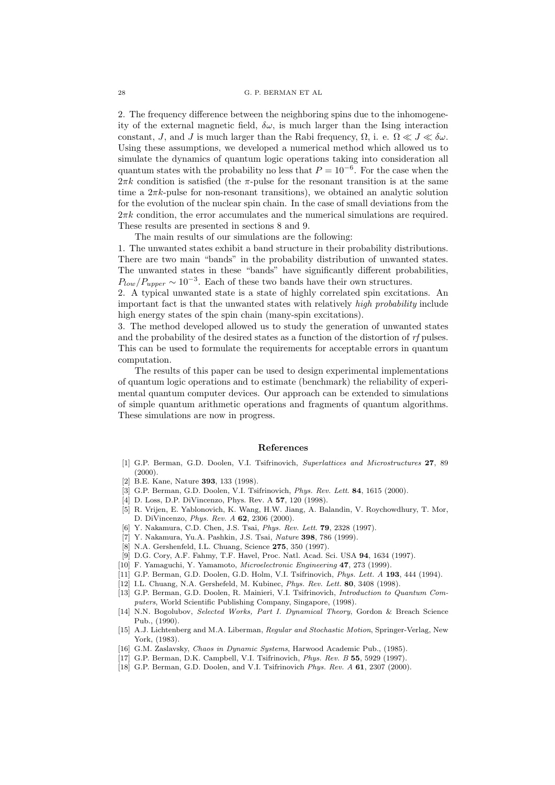2. The frequency difference between the neighboring spins due to the inhomogeneity of the external magnetic field,  $\delta\omega$ , is much larger than the Ising interaction constant, J, and J is much larger than the Rabi frequency,  $\Omega$ , i. e.  $\Omega \ll J \ll \delta \omega$ . Using these assumptions, we developed a numerical method which allowed us to simulate the dynamics of quantum logic operations taking into consideration all quantum states with the probability no less that  $P = 10^{-6}$ . For the case when the  $2\pi k$  condition is satisfied (the  $\pi$ -pulse for the resonant transition is at the same time a  $2\pi k$ -pulse for non-resonant transitions), we obtained an analytic solution for the evolution of the nuclear spin chain. In the case of small deviations from the  $2\pi k$  condition, the error accumulates and the numerical simulations are required. These results are presented in sections 8 and 9.

The main results of our simulations are the following:

1. The unwanted states exhibit a band structure in their probability distributions. There are two main "bands" in the probability distribution of unwanted states. The unwanted states in these "bands" have significantly different probabilities,  $P_{low}/P_{upper} \sim 10^{-3}$ . Each of these two bands have their own structures.

2. A typical unwanted state is a state of highly correlated spin excitations. An important fact is that the unwanted states with relatively high probability include high energy states of the spin chain (many-spin excitations).

3. The method developed allowed us to study the generation of unwanted states and the probability of the desired states as a function of the distortion of rf pulses. This can be used to formulate the requirements for acceptable errors in quantum computation.

The results of this paper can be used to design experimental implementations of quantum logic operations and to estimate (benchmark) the reliability of experimental quantum computer devices. Our approach can be extended to simulations of simple quantum arithmetic operations and fragments of quantum algorithms. These simulations are now in progress.

## References

- [1] G.P. Berman, G.D. Doolen, V.I. Tsifrinovich, Superlattices and Microstructures 27, 89  $(2000)$ .
- [2] B.E. Kane, Nature 393, 133 (1998).
- [3] G.P. Berman, G.D. Doolen, V.I. Tsifrinovich, Phys. Rev. Lett. 84, 1615 (2000).
- [4] D. Loss, D.P. DiVincenzo, Phys. Rev. A **57**, 120 (1998).
- [5] R. Vrijen, E. Yablonovich, K. Wang, H.W. Jiang, A. Balandin, V. Roychowdhury, T. Mor, D. DiVincenzo, Phys. Rev. A 62, 2306 (2000).
- Y. Nakamura, C.D. Chen, J.S. Tsai, Phys. Rev. Lett. 79, 2328 (1997).
- [7] Y. Nakamura, Yu.A. Pashkin, J.S. Tsai, Nature 398, 786 (1999).
- [8] N.A. Gershenfeld, I.L. Chuang, Science 275, 350 (1997).
- [9] D.G. Cory, A.F. Fahmy, T.F. Havel, Proc. Natl. Acad. Sci. USA 94, 1634 (1997).
- [10] F. Yamaguchi, Y. Yamamoto, Microelectronic Engineering 47, 273 (1999).
- [11] G.P. Berman, G.D. Doolen, G.D. Holm, V.I. Tsifrinovich, Phys. Lett. A 193, 444 (1994).
- [12] I.L. Chuang, N.A. Gershefeld, M. Kubinec, Phys. Rev. Lett. 80, 3408 (1998).
- [13] G.P. Berman, G.D. Doolen, R. Mainieri, V.I. Tsifrinovich, Introduction to Quantum Computers, World Scientific Publishing Company, Singapore, (1998).
- [14] N.N. Bogolubov, Selected Works, Part I. Dynamical Theory, Gordon & Breach Science  $P_{11}$  (1990).
- [15] A.J. Lichtenberg and M.A. Liberman, Regular and Stochastic Motion, Springer-Verlag, New York, (1983).
- [16] G.M. Zaslavsky, Chaos in Dynamic Systems, Harwood Academic Pub., (1985).
- [17] G.P. Berman, D.K. Campbell, V.I. Tsifrinovich, Phys. Rev. B 55, 5929 (1997).
- [18] G.P. Berman, G.D. Doolen, and V.I. Tsifrinovich Phys. Rev. A 61, 2307 (2000).